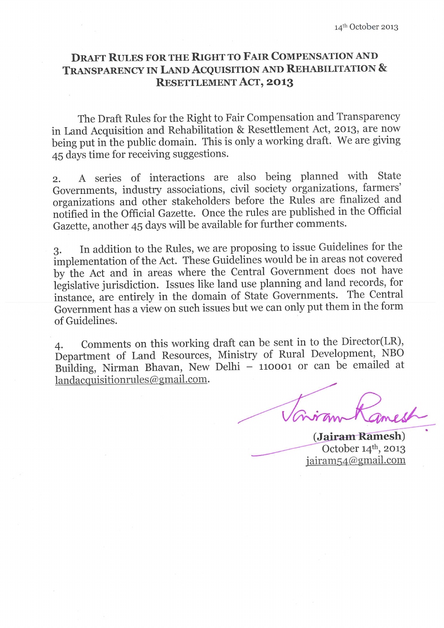# **DRAFT RULES FOR THE RIGHT TO FAIR COMPENSATION AND** TRANSPARENCY IN LAND ACQUISITION AND REHABILITATION & **RESETTLEMENT ACT, 2013**

The Draft Rules for the Right to Fair Compensation and Transparency in Land Acquisition and Rehabilitation & Resettlement Act, 2013, are now being put in the public domain. This is only a working draft. We are giving 45 days time for receiving suggestions.

A series of interactions are also being planned with State  $2.$ Governments, industry associations, civil society organizations, farmers' organizations and other stakeholders before the Rules are finalized and notified in the Official Gazette. Once the rules are published in the Official Gazette, another 45 days will be available for further comments.

In addition to the Rules, we are proposing to issue Guidelines for the 3. implementation of the Act. These Guidelines would be in areas not covered by the Act and in areas where the Central Government does not have legislative jurisdiction. Issues like land use planning and land records, for instance, are entirely in the domain of State Governments. The Central Government has a view on such issues but we can only put them in the form of Guidelines.

Comments on this working draft can be sent in to the Director(LR),  $\overline{4}$ . Department of Land Resources, Ministry of Rural Development, NBO Building, Nirman Bhavan, New Delhi - 110001 or can be emailed at landacquisitionrules@gmail.com.

(Jairam Ramesh) October 14th, 2013  $iairam54@gmail.com$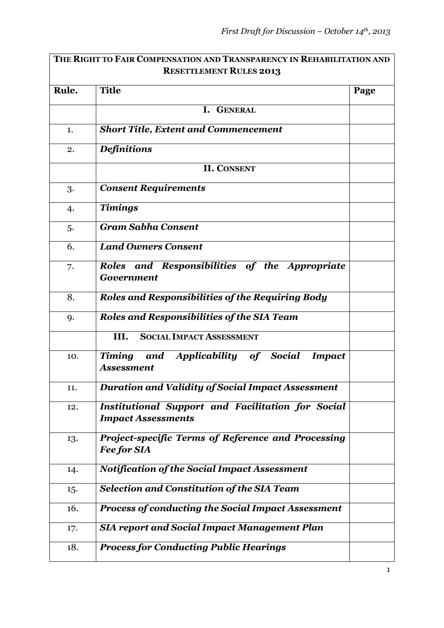|       | THE RIGHT TO FAIR COMPENSATION AND TRANSPARENCY IN REHABILITATION AND                 |      |
|-------|---------------------------------------------------------------------------------------|------|
|       | <b>RESETTLEMENT RULES 2013</b>                                                        |      |
| Rule. | <b>Title</b>                                                                          | Page |
|       | I. GENERAL                                                                            |      |
| 1.    | <b>Short Title, Extent and Commencement</b>                                           |      |
| 2.    | <b>Definitions</b>                                                                    |      |
|       | <b>II. CONSENT</b>                                                                    |      |
| 3.    | <b>Consent Requirements</b>                                                           |      |
| 4.    | <b>Timings</b>                                                                        |      |
| 5.    | <b>Gram Sabha Consent</b>                                                             |      |
| 6.    | <b>Land Owners Consent</b>                                                            |      |
| 7.    | Roles and Responsibilities of the Appropriate<br><b>Government</b>                    |      |
| 8.    | <b>Roles and Responsibilities of the Requiring Body</b>                               |      |
| 9.    | <b>Roles and Responsibilities of the SIA Team</b>                                     |      |
|       | <b>SOCIAL IMPACT ASSESSMENT</b><br>III.                                               |      |
| 10.   | and Applicability of Social<br><b>Timing</b><br><b>Impact</b><br>Assessment           |      |
| 11.   | Duration and Validity of Social Impact Assessment                                     |      |
| 12.   | <b>Institutional Support and Facilitation for Social</b><br><b>Impact Assessments</b> |      |
| 13.   | Project-specific Terms of Reference and Processing<br><b>Fee for SIA</b>              |      |
| 14.   | <b>Notification of the Social Impact Assessment</b>                                   |      |
| 15.   | Selection and Constitution of the SIA Team                                            |      |
| 16.   | <b>Process of conducting the Social Impact Assessment</b>                             |      |
| 17.   | <b>SIA report and Social Impact Management Plan</b>                                   |      |
| 18.   | <b>Process for Conducting Public Hearings</b>                                         |      |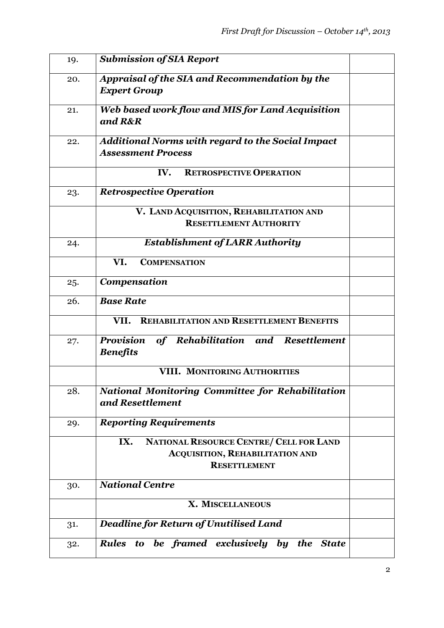| 19. | <b>Submission of SIA Report</b>                                                     |  |
|-----|-------------------------------------------------------------------------------------|--|
| 20. | Appraisal of the SIA and Recommendation by the                                      |  |
|     | <b>Expert Group</b>                                                                 |  |
| 21. | Web based work flow and MIS for Land Acquisition                                    |  |
|     | and R&R                                                                             |  |
| 22. | Additional Norms with regard to the Social Impact                                   |  |
|     | <b>Assessment Process</b>                                                           |  |
|     | IV.<br><b>RETROSPECTIVE OPERATION</b>                                               |  |
| 23. | <b>Retrospective Operation</b>                                                      |  |
|     | V. LAND ACQUISITION, REHABILITATION AND                                             |  |
|     | <b>RESETTLEMENT AUTHORITY</b>                                                       |  |
| 24. | <b>Establishment of LARR Authority</b>                                              |  |
|     | VI.<br><b>COMPENSATION</b>                                                          |  |
| 25. | Compensation                                                                        |  |
| 26. | <b>Base Rate</b>                                                                    |  |
|     | <b>REHABILITATION AND RESETTLEMENT BENEFITS</b><br>VII.                             |  |
| 27. | <b>Provision</b><br>of Rehabilitation and<br><b>Resettlement</b><br><b>Benefits</b> |  |
|     |                                                                                     |  |
|     | VIII. MONITORING AUTHORITIES                                                        |  |
| 28. | <b>National Monitoring Committee for Rehabilitation</b>                             |  |
|     | and Resettlement                                                                    |  |
| 29. | <b>Reporting Requirements</b>                                                       |  |
|     | IX.<br>NATIONAL RESOURCE CENTRE/ CELL FOR LAND                                      |  |
|     | <b>ACQUISITION, REHABILITATION AND</b>                                              |  |
|     | <b>RESETTLEMENT</b>                                                                 |  |
| 30. | <b>National Centre</b>                                                              |  |
|     | X. MISCELLANEOUS                                                                    |  |
| 31. | <b>Deadline for Return of Unutilised Land</b>                                       |  |
| 32. | Rules to be framed exclusively by the State                                         |  |
|     |                                                                                     |  |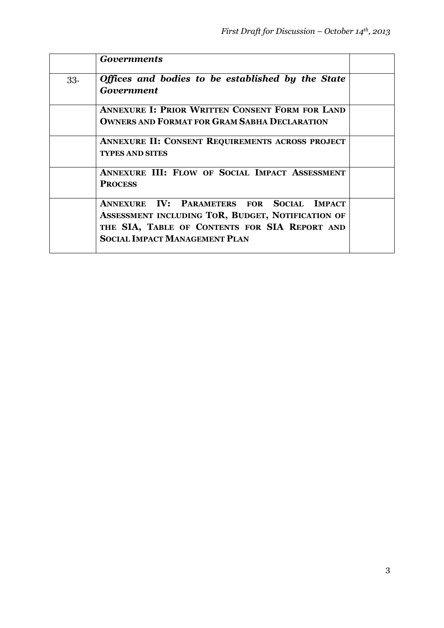|     | <b>Governments</b>                                                                                                                                                                      |  |
|-----|-----------------------------------------------------------------------------------------------------------------------------------------------------------------------------------------|--|
| 33. | Offices and bodies to be established by the State<br>Government                                                                                                                         |  |
|     | <b>ANNEXURE I: PRIOR WRITTEN CONSENT FORM FOR LAND</b><br><b>OWNERS AND FORMAT FOR GRAM SABHA DECLARATION</b>                                                                           |  |
|     | <b>ANNEXURE II: CONSENT REQUIREMENTS ACROSS PROJECT</b><br><b>TYPES AND SITES</b>                                                                                                       |  |
|     | ANNEXURE III: FLOW OF SOCIAL IMPACT ASSESSMENT<br><b>PROCESS</b>                                                                                                                        |  |
|     | ANNEXURE IV: PARAMETERS FOR SOCIAL IMPACT<br>ASSESSMENT INCLUDING TOR, BUDGET, NOTIFICATION OF<br>THE SIA, TABLE OF CONTENTS FOR SIA REPORT AND<br><b>SOCIAL IMPACT MANAGEMENT PLAN</b> |  |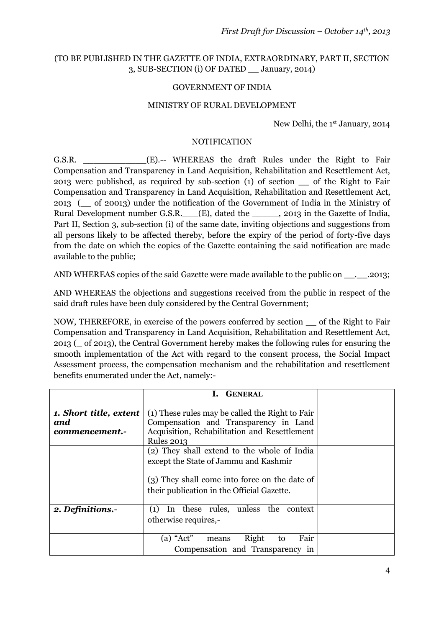### (TO BE PUBLISHED IN THE GAZETTE OF INDIA, EXTRAORDINARY, PART II, SECTION 3, SUB-SECTION (i) OF DATED \_\_ January, 2014)

#### GOVERNMENT OF INDIA

#### MINISTRY OF RURAL DEVELOPMENT

New Delhi, the 1st January, 2014

#### NOTIFICATION

G.S.R. **EXECUTE:** G.S.R. **EXECUTE:** EXECUTE: **CONSTANT WHEREAS** the draft Rules under the Right to Fair Compensation and Transparency in Land Acquisition, Rehabilitation and Resettlement Act, 2013 were published, as required by sub-section (1) of section \_\_ of the Right to Fair Compensation and Transparency in Land Acquisition, Rehabilitation and Resettlement Act, 2013 (\_\_ of 20013) under the notification of the Government of India in the Ministry of Rural Development number G.S.R. \_\_\_(E), dated the \_\_\_\_\_\_, 2013 in the Gazette of India, Part II, Section 3, sub-section (i) of the same date, inviting objections and suggestions from all persons likely to be affected thereby, before the expiry of the period of forty-five days from the date on which the copies of the Gazette containing the said notification are made available to the public;

AND WHEREAS copies of the said Gazette were made available to the public on . . .2013;

AND WHEREAS the objections and suggestions received from the public in respect of the said draft rules have been duly considered by the Central Government;

NOW, THEREFORE, in exercise of the powers conferred by section \_\_ of the Right to Fair Compensation and Transparency in Land Acquisition, Rehabilitation and Resettlement Act, 2013 (\_ of 2013), the Central Government hereby makes the following rules for ensuring the smooth implementation of the Act with regard to the consent process, the Social Impact Assessment process, the compensation mechanism and the rehabilitation and resettlement benefits enumerated under the Act, namely:-

|                        | <b>GENERAL</b>                                  |  |
|------------------------|-------------------------------------------------|--|
|                        |                                                 |  |
| 1. Short title, extent | (1) These rules may be called the Right to Fair |  |
| and                    | Compensation and Transparency in Land           |  |
| commencement.-         | Acquisition, Rehabilitation and Resettlement    |  |
|                        | <b>Rules 2013</b>                               |  |
|                        | (2) They shall extend to the whole of India     |  |
|                        | except the State of Jammu and Kashmir           |  |
|                        |                                                 |  |
|                        | (3) They shall come into force on the date of   |  |
|                        | their publication in the Official Gazette.      |  |
|                        |                                                 |  |
| 2. Definitions.-       | In these rules, unless the context<br>(1)       |  |
|                        | otherwise requires,-                            |  |
|                        |                                                 |  |
|                        | $(a)$ "Act"<br>Right<br>Fair<br>to<br>means     |  |
|                        | Compensation and Transparency in                |  |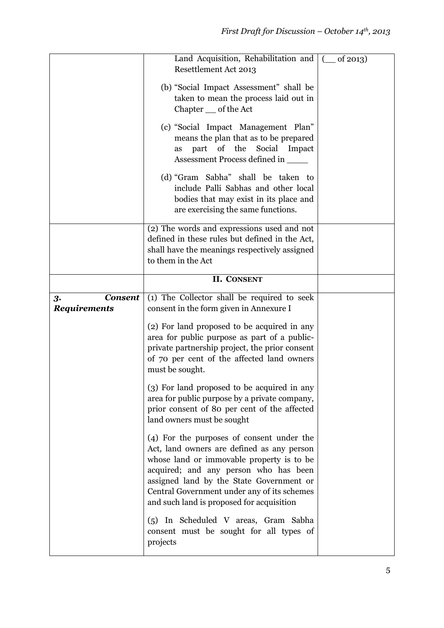|                                             | Land Acquisition, Rehabilitation and   (<br>Resettlement Act 2013<br>(b) "Social Impact Assessment" shall be<br>taken to mean the process laid out in<br>Chapter __ of the Act<br>(c) "Social Impact Management Plan"<br>means the plan that as to be prepared<br>part of the<br>Social Impact<br><b>as</b><br>Assessment Process defined in _____<br>(d) "Gram Sabha" shall be taken to<br>include Palli Sabhas and other local<br>bodies that may exist in its place and<br>are exercising the same functions. | of $2013$ ) |
|---------------------------------------------|------------------------------------------------------------------------------------------------------------------------------------------------------------------------------------------------------------------------------------------------------------------------------------------------------------------------------------------------------------------------------------------------------------------------------------------------------------------------------------------------------------------|-------------|
|                                             | (2) The words and expressions used and not<br>defined in these rules but defined in the Act,<br>shall have the meanings respectively assigned<br>to them in the Act                                                                                                                                                                                                                                                                                                                                              |             |
|                                             | <b>II. CONSENT</b>                                                                                                                                                                                                                                                                                                                                                                                                                                                                                               |             |
| <b>Consent</b><br>3.<br><b>Requirements</b> | (1) The Collector shall be required to seek<br>consent in the form given in Annexure I<br>(2) For land proposed to be acquired in any                                                                                                                                                                                                                                                                                                                                                                            |             |
|                                             | area for public purpose as part of a public-<br>private partnership project, the prior consent<br>of 70 per cent of the affected land owners<br>must be sought.                                                                                                                                                                                                                                                                                                                                                  |             |
|                                             | (3) For land proposed to be acquired in any<br>area for public purpose by a private company,<br>prior consent of 80 per cent of the affected<br>land owners must be sought                                                                                                                                                                                                                                                                                                                                       |             |
|                                             | (4) For the purposes of consent under the<br>Act, land owners are defined as any person<br>whose land or immovable property is to be<br>acquired; and any person who has been<br>assigned land by the State Government or<br>Central Government under any of its schemes<br>and such land is proposed for acquisition                                                                                                                                                                                            |             |
|                                             | (5) In Scheduled V areas, Gram Sabha<br>consent must be sought for all types of<br>projects                                                                                                                                                                                                                                                                                                                                                                                                                      |             |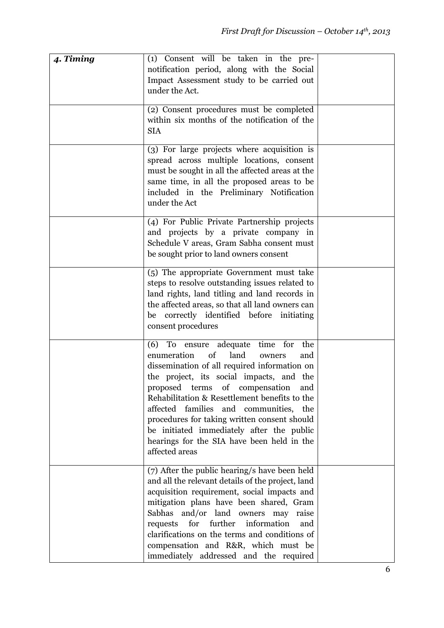| 4. Timing | (1) Consent will be taken in the pre-<br>notification period, along with the Social<br>Impact Assessment study to be carried out<br>under the Act.                                                                                                                                                                                                                                                                                                                                         |  |
|-----------|--------------------------------------------------------------------------------------------------------------------------------------------------------------------------------------------------------------------------------------------------------------------------------------------------------------------------------------------------------------------------------------------------------------------------------------------------------------------------------------------|--|
|           | (2) Consent procedures must be completed<br>within six months of the notification of the<br><b>SIA</b>                                                                                                                                                                                                                                                                                                                                                                                     |  |
|           | (3) For large projects where acquisition is<br>spread across multiple locations, consent<br>must be sought in all the affected areas at the<br>same time, in all the proposed areas to be<br>included in the Preliminary Notification<br>under the Act                                                                                                                                                                                                                                     |  |
|           | (4) For Public Private Partnership projects<br>and projects by a private company in<br>Schedule V areas, Gram Sabha consent must<br>be sought prior to land owners consent                                                                                                                                                                                                                                                                                                                 |  |
|           | (5) The appropriate Government must take<br>steps to resolve outstanding issues related to<br>land rights, land titling and land records in<br>the affected areas, so that all land owners can<br>be correctly identified before initiating<br>consent procedures                                                                                                                                                                                                                          |  |
|           | ensure adequate<br>time<br>for<br>(6)<br>To<br>the<br>enumeration<br>of<br>land<br>and<br>owners<br>dissemination of all required information on<br>the project, its social impacts, and the<br>proposed terms of compensation and<br>Rehabilitation & Resettlement benefits to the<br>affected families and communities, the<br>procedures for taking written consent should<br>be initiated immediately after the public<br>hearings for the SIA have been held in the<br>affected areas |  |
|           | (7) After the public hearing/s have been held<br>and all the relevant details of the project, land<br>acquisition requirement, social impacts and<br>mitigation plans have been shared, Gram<br>Sabhas and/or land owners may raise<br>for<br>further<br>information<br>requests<br>and<br>clarifications on the terms and conditions of<br>compensation and R&R, which must be<br>immediately addressed and the required                                                                  |  |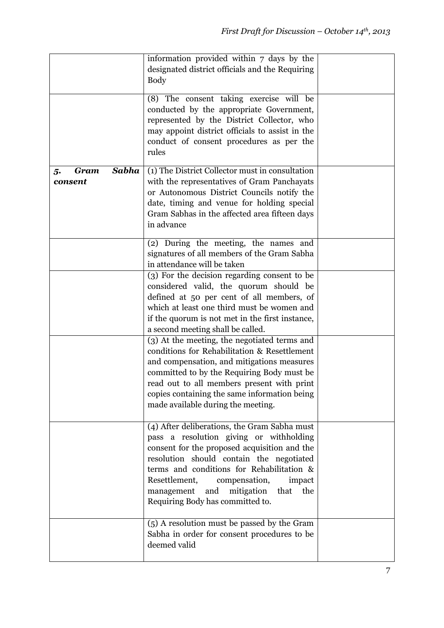|                                       | information provided within 7 days by the<br>designated district officials and the Requiring<br><b>Body</b>                                                                                                                                                                                                                                                        |  |
|---------------------------------------|--------------------------------------------------------------------------------------------------------------------------------------------------------------------------------------------------------------------------------------------------------------------------------------------------------------------------------------------------------------------|--|
|                                       | (8) The consent taking exercise will be<br>conducted by the appropriate Government,<br>represented by the District Collector, who<br>may appoint district officials to assist in the<br>conduct of consent procedures as per the<br>rules                                                                                                                          |  |
| Sabha<br><b>Gram</b><br>5.<br>consent | (1) The District Collector must in consultation<br>with the representatives of Gram Panchayats<br>or Autonomous District Councils notify the<br>date, timing and venue for holding special<br>Gram Sabhas in the affected area fifteen days<br>in advance                                                                                                          |  |
|                                       | (2) During the meeting, the names and<br>signatures of all members of the Gram Sabha<br>in attendance will be taken                                                                                                                                                                                                                                                |  |
|                                       | (3) For the decision regarding consent to be<br>considered valid, the quorum should be<br>defined at 50 per cent of all members, of<br>which at least one third must be women and<br>if the quorum is not met in the first instance,<br>a second meeting shall be called.                                                                                          |  |
|                                       | (3) At the meeting, the negotiated terms and<br>conditions for Rehabilitation & Resettlement<br>and compensation, and mitigations measures<br>committed to by the Requiring Body must be<br>read out to all members present with print<br>copies containing the same information being<br>made available during the meeting.                                       |  |
|                                       | (4) After deliberations, the Gram Sabha must<br>pass a resolution giving or withholding<br>consent for the proposed acquisition and the<br>resolution should contain the negotiated<br>terms and conditions for Rehabilitation &<br>Resettlement,<br>compensation,<br>impact<br>mitigation<br>management<br>and<br>that<br>the<br>Requiring Body has committed to. |  |
|                                       | (5) A resolution must be passed by the Gram<br>Sabha in order for consent procedures to be<br>deemed valid                                                                                                                                                                                                                                                         |  |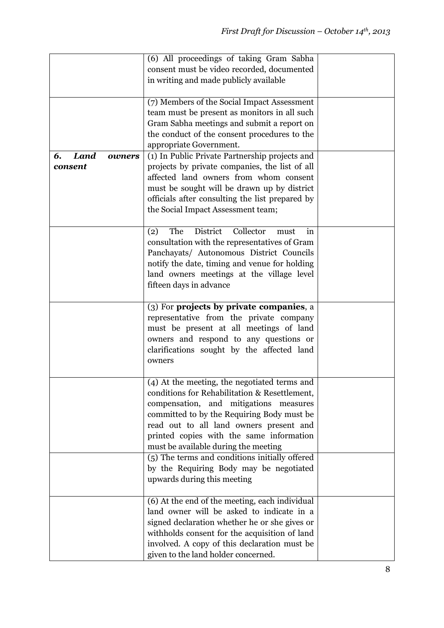|                                        | (6) All proceedings of taking Gram Sabha<br>consent must be video recorded, documented<br>in writing and made publicly available<br>(7) Members of the Social Impact Assessment                                                                                                                                      |  |
|----------------------------------------|----------------------------------------------------------------------------------------------------------------------------------------------------------------------------------------------------------------------------------------------------------------------------------------------------------------------|--|
|                                        | team must be present as monitors in all such<br>Gram Sabha meetings and submit a report on<br>the conduct of the consent procedures to the<br>appropriate Government.                                                                                                                                                |  |
| <b>Land</b><br>6.<br>owners<br>consent | (1) In Public Private Partnership projects and<br>projects by private companies, the list of all<br>affected land owners from whom consent<br>must be sought will be drawn up by district<br>officials after consulting the list prepared by<br>the Social Impact Assessment team;                                   |  |
|                                        | District<br>Collector<br>The<br>(2)<br>must<br>in<br>consultation with the representatives of Gram<br>Panchayats/ Autonomous District Councils<br>notify the date, timing and venue for holding<br>land owners meetings at the village level<br>fifteen days in advance                                              |  |
|                                        | (3) For projects by private companies, a<br>representative from the private company<br>must be present at all meetings of land<br>owners and respond to any questions or<br>clarifications sought by the affected land<br>owners                                                                                     |  |
|                                        | (4) At the meeting, the negotiated terms and<br>conditions for Rehabilitation & Resettlement,<br>compensation, and mitigations measures<br>committed to by the Requiring Body must be<br>read out to all land owners present and<br>printed copies with the same information<br>must be available during the meeting |  |
|                                        | (5) The terms and conditions initially offered<br>by the Requiring Body may be negotiated<br>upwards during this meeting                                                                                                                                                                                             |  |
|                                        | (6) At the end of the meeting, each individual<br>land owner will be asked to indicate in a<br>signed declaration whether he or she gives or<br>withholds consent for the acquisition of land<br>involved. A copy of this declaration must be<br>given to the land holder concerned.                                 |  |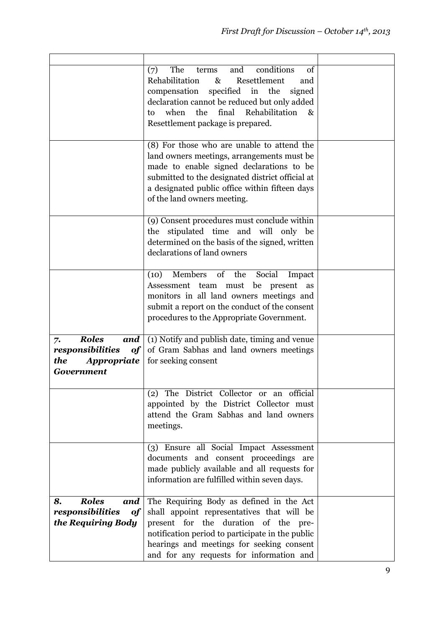|                                                                                                | and<br>conditions<br>of<br>(7)<br>The<br>terms<br>Rehabilitation<br>Resettlement<br>$\&$<br>and<br>specified in the<br>compensation<br>signed<br>declaration cannot be reduced but only added<br>when<br>the<br>final<br>Rehabilitation<br>&<br>to<br>Resettlement package is prepared.<br>(8) For those who are unable to attend the |  |
|------------------------------------------------------------------------------------------------|---------------------------------------------------------------------------------------------------------------------------------------------------------------------------------------------------------------------------------------------------------------------------------------------------------------------------------------|--|
|                                                                                                | land owners meetings, arrangements must be.<br>made to enable signed declarations to be<br>submitted to the designated district official at<br>a designated public office within fifteen days<br>of the land owners meeting.                                                                                                          |  |
|                                                                                                | (9) Consent procedures must conclude within<br>stipulated time and will only be<br>the<br>determined on the basis of the signed, written<br>declarations of land owners                                                                                                                                                               |  |
|                                                                                                | Members of the<br>(10)<br>Social<br>Impact<br>be<br>present<br>Assessment team must<br>as<br>monitors in all land owners meetings and<br>submit a report on the conduct of the consent<br>procedures to the Appropriate Government.                                                                                                   |  |
| <b>Roles</b><br>and<br>7.<br>responsibilities<br>of<br>the<br>Appropriate<br><b>Government</b> | (1) Notify and publish date, timing and venue<br>of Gram Sabhas and land owners meetings<br>for seeking consent                                                                                                                                                                                                                       |  |
|                                                                                                | (2) The District Collector or an official<br>appointed by the District Collector must<br>attend the Gram Sabhas and land owners<br>meetings.                                                                                                                                                                                          |  |
|                                                                                                | (3) Ensure all Social Impact Assessment<br>documents and consent proceedings are<br>made publicly available and all requests for<br>information are fulfilled within seven days.                                                                                                                                                      |  |
| <b>Roles</b><br>8.<br>and<br>responsibilities<br>of<br>the Requiring Body                      | The Requiring Body as defined in the Act<br>shall appoint representatives that will be<br>present for the duration of the pre-<br>notification period to participate in the public<br>hearings and meetings for seeking consent<br>and for any requests for information and                                                           |  |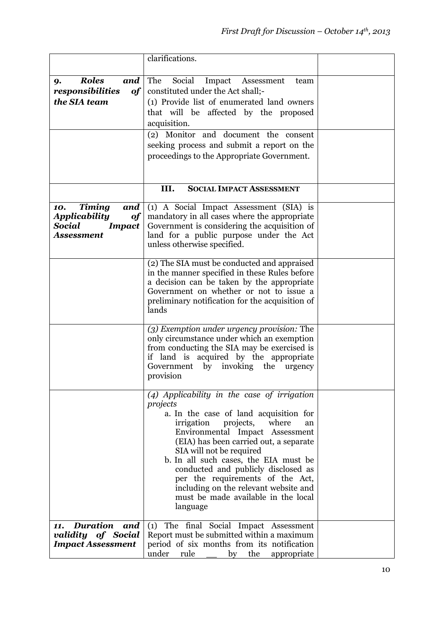|                                                                                                           | clarifications.                                                                                                                                                                                                                                                                                                                                                                                                                                                      |  |
|-----------------------------------------------------------------------------------------------------------|----------------------------------------------------------------------------------------------------------------------------------------------------------------------------------------------------------------------------------------------------------------------------------------------------------------------------------------------------------------------------------------------------------------------------------------------------------------------|--|
|                                                                                                           |                                                                                                                                                                                                                                                                                                                                                                                                                                                                      |  |
| <b>Roles</b><br>and<br>9.                                                                                 | The<br>Social<br>Impact<br>Assessment<br>team                                                                                                                                                                                                                                                                                                                                                                                                                        |  |
| responsibilities<br>$\bf of$                                                                              | constituted under the Act shall;-                                                                                                                                                                                                                                                                                                                                                                                                                                    |  |
| the SIA team                                                                                              | (1) Provide list of enumerated land owners                                                                                                                                                                                                                                                                                                                                                                                                                           |  |
|                                                                                                           | that will be affected by the proposed<br>acquisition.                                                                                                                                                                                                                                                                                                                                                                                                                |  |
|                                                                                                           | (2) Monitor and document the consent                                                                                                                                                                                                                                                                                                                                                                                                                                 |  |
|                                                                                                           | seeking process and submit a report on the                                                                                                                                                                                                                                                                                                                                                                                                                           |  |
|                                                                                                           | proceedings to the Appropriate Government.                                                                                                                                                                                                                                                                                                                                                                                                                           |  |
|                                                                                                           |                                                                                                                                                                                                                                                                                                                                                                                                                                                                      |  |
|                                                                                                           |                                                                                                                                                                                                                                                                                                                                                                                                                                                                      |  |
|                                                                                                           | III.<br><b>SOCIAL IMPACT ASSESSMENT</b>                                                                                                                                                                                                                                                                                                                                                                                                                              |  |
| <b>Timing</b><br>and<br>10.<br><b>Applicability</b><br>of<br>Social<br><b>Impact</b><br><b>Assessment</b> | (1) A Social Impact Assessment (SIA) is<br>mandatory in all cases where the appropriate<br>Government is considering the acquisition of<br>land for a public purpose under the Act<br>unless otherwise specified.                                                                                                                                                                                                                                                    |  |
|                                                                                                           | (2) The SIA must be conducted and appraised<br>in the manner specified in these Rules before<br>a decision can be taken by the appropriate<br>Government on whether or not to issue a<br>preliminary notification for the acquisition of<br>lands                                                                                                                                                                                                                    |  |
|                                                                                                           | (3) Exemption under urgency provision: The<br>only circumstance under which an exemption<br>from conducting the SIA may be exercised is<br>if land is acquired by the appropriate<br>Government by<br>invoking the<br>urgency<br>provision                                                                                                                                                                                                                           |  |
|                                                                                                           | (4) Applicability in the case of irrigation<br>projects<br>a. In the case of land acquisition for<br>irrigation<br>projects,<br>where<br>an<br>Environmental Impact Assessment<br>(EIA) has been carried out, a separate<br>SIA will not be required<br>b. In all such cases, the EIA must be<br>conducted and publicly disclosed as<br>per the requirements of the Act,<br>including on the relevant website and<br>must be made available in the local<br>language |  |
| <b>Duration</b><br>and<br>11.<br>validity of Social<br><b>Impact Assessment</b>                           | The final Social Impact Assessment<br>(1)<br>Report must be submitted within a maximum<br>period of six months from its notification<br>under<br>rule<br>the<br>by<br>appropriate                                                                                                                                                                                                                                                                                    |  |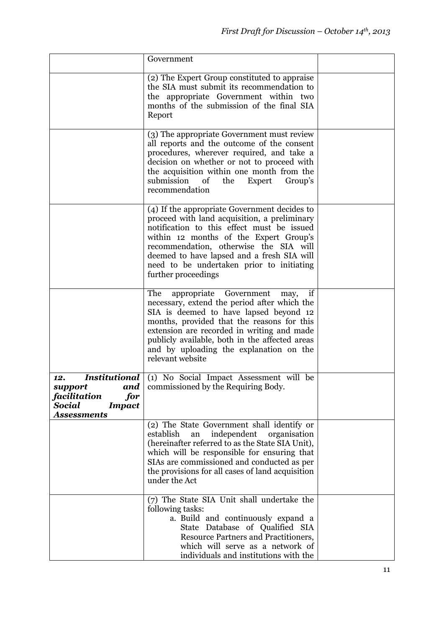|                                                                                               | Government                                                                                                                                                                                                                                                                                                                                         |  |
|-----------------------------------------------------------------------------------------------|----------------------------------------------------------------------------------------------------------------------------------------------------------------------------------------------------------------------------------------------------------------------------------------------------------------------------------------------------|--|
|                                                                                               | (2) The Expert Group constituted to appraise<br>the SIA must submit its recommendation to<br>the appropriate Government within two<br>months of the submission of the final SIA<br>Report                                                                                                                                                          |  |
|                                                                                               | (3) The appropriate Government must review<br>all reports and the outcome of the consent<br>procedures, wherever required, and take a<br>decision on whether or not to proceed with<br>the acquisition within one month from the<br>submission<br>of<br>the<br>Expert<br>Group's<br>recommendation                                                 |  |
|                                                                                               | (4) If the appropriate Government decides to<br>proceed with land acquisition, a preliminary<br>notification to this effect must be issued<br>within 12 months of the Expert Group's<br>recommendation, otherwise the SIA will<br>deemed to have lapsed and a fresh SIA will<br>need to be undertaken prior to initiating<br>further proceedings   |  |
|                                                                                               | The<br>appropriate Government<br>if<br>may,<br>necessary, extend the period after which the<br>SIA is deemed to have lapsed beyond 12<br>months, provided that the reasons for this<br>extension are recorded in writing and made<br>publicly available, both in the affected areas<br>and by uploading the explanation on the<br>relevant website |  |
| 12.<br>support<br>facilitation<br>for<br><b>Social</b><br><b>Impact</b><br><b>Assessments</b> | <b>Institutional</b> (1) No Social Impact Assessment will be<br><b>and</b> commissioned by the Requiring Body.                                                                                                                                                                                                                                     |  |
|                                                                                               | (2) The State Government shall identify or<br>independent<br>establish<br>an<br>organisation<br>(hereinafter referred to as the State SIA Unit),<br>which will be responsible for ensuring that<br>SIAs are commissioned and conducted as per<br>the provisions for all cases of land acquisition<br>under the Act                                 |  |
|                                                                                               | (7) The State SIA Unit shall undertake the<br>following tasks:<br>a. Build and continuously expand a<br>State Database of Qualified SIA<br>Resource Partners and Practitioners,<br>which will serve as a network of<br>individuals and institutions with the                                                                                       |  |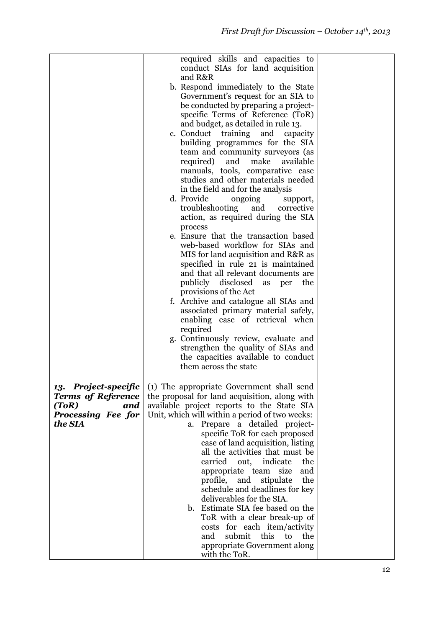|                                                                                                    | required skills and capacities to<br>conduct SIAs for land acquisition<br>and R&R<br>b. Respond immediately to the State<br>Government's request for an SIA to<br>be conducted by preparing a project-<br>specific Terms of Reference (ToR)<br>and budget, as detailed in rule 13.                                                                                                                                                                                                                                                                                                                                                                                                                                           |  |
|----------------------------------------------------------------------------------------------------|------------------------------------------------------------------------------------------------------------------------------------------------------------------------------------------------------------------------------------------------------------------------------------------------------------------------------------------------------------------------------------------------------------------------------------------------------------------------------------------------------------------------------------------------------------------------------------------------------------------------------------------------------------------------------------------------------------------------------|--|
|                                                                                                    | c. Conduct training<br>and<br>capacity<br>building programmes for the SIA<br>team and community surveyors (as<br>required)<br>and<br>make<br>available<br>manuals, tools, comparative case<br>studies and other materials needed<br>in the field and for the analysis<br>d. Provide<br>ongoing<br>support,<br>troubleshooting<br>and<br>corrective                                                                                                                                                                                                                                                                                                                                                                           |  |
|                                                                                                    | action, as required during the SIA<br>process<br>e. Ensure that the transaction based<br>web-based workflow for SIAs and<br>MIS for land acquisition and R&R as<br>specified in rule 21 is maintained<br>and that all relevant documents are<br>publicly disclosed<br>the<br>as<br>per                                                                                                                                                                                                                                                                                                                                                                                                                                       |  |
|                                                                                                    | provisions of the Act<br>f. Archive and catalogue all SIAs and<br>associated primary material safely,<br>enabling ease of retrieval when<br>required<br>g. Continuously review, evaluate and<br>strengthen the quality of SIAs and<br>the capacities available to conduct<br>them across the state                                                                                                                                                                                                                                                                                                                                                                                                                           |  |
| 13. Project-specific<br><b>Terms of Reference</b><br>(ToR)<br>and<br>Processing Fee for<br>the SIA | (1) The appropriate Government shall send<br>the proposal for land acquisition, along with<br>available project reports to the State SIA<br>Unit, which will within a period of two weeks:<br>Prepare a detailed project-<br>a.<br>specific ToR for each proposed<br>case of land acquisition, listing<br>all the activities that must be<br>indicate<br>carried<br>out,<br>the<br>appropriate team size<br>and<br>profile, and<br>stipulate<br>the<br>schedule and deadlines for key<br>deliverables for the SIA.<br>Estimate SIA fee based on the<br>$\mathbf{b}$ .<br>ToR with a clear break-up of<br>costs for each item/activity<br>submit<br>this<br>and<br>to<br>the<br>appropriate Government along<br>with the ToR. |  |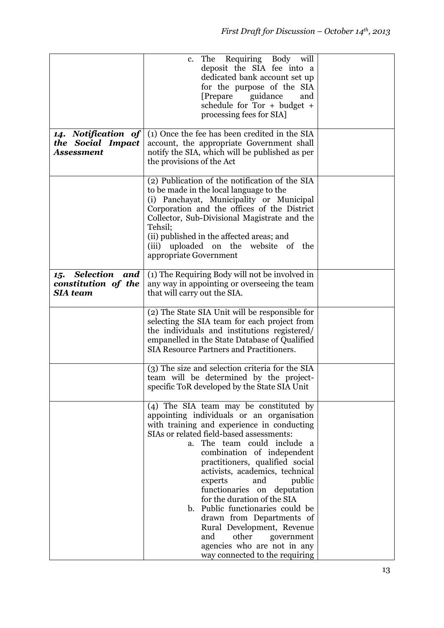|                                                                   | The Requiring Body will<br>$c_{\cdot}$<br>deposit the SIA fee into a<br>dedicated bank account set up<br>for the purpose of the SIA<br>[Prepare guidance]<br>and<br>schedule for $Tor + budget +$<br>processing fees for SIA.                                                                                                                                                                                                                                                                                                                                                                                             |  |
|-------------------------------------------------------------------|---------------------------------------------------------------------------------------------------------------------------------------------------------------------------------------------------------------------------------------------------------------------------------------------------------------------------------------------------------------------------------------------------------------------------------------------------------------------------------------------------------------------------------------------------------------------------------------------------------------------------|--|
| 14. Notification of<br>the Social Impact<br><b>Assessment</b>     | (1) Once the fee has been credited in the SIA<br>account, the appropriate Government shall<br>notify the SIA, which will be published as per<br>the provisions of the Act                                                                                                                                                                                                                                                                                                                                                                                                                                                 |  |
|                                                                   | (2) Publication of the notification of the SIA<br>to be made in the local language to the<br>(i) Panchayat, Municipality or Municipal<br>Corporation and the offices of the District<br>Collector, Sub-Divisional Magistrate and the<br>Tehsil;<br>(ii) published in the affected areas; and<br>(iii) uploaded on the website of<br>the<br>appropriate Government                                                                                                                                                                                                                                                         |  |
| Selection<br>and<br>15.<br>constitution of the<br><b>SIA</b> team | (1) The Requiring Body will not be involved in<br>any way in appointing or overseeing the team<br>that will carry out the SIA.                                                                                                                                                                                                                                                                                                                                                                                                                                                                                            |  |
|                                                                   | (2) The State SIA Unit will be responsible for<br>selecting the SIA team for each project from<br>the individuals and institutions registered/<br>empanelled in the State Database of Qualified<br><b>SIA Resource Partners and Practitioners.</b>                                                                                                                                                                                                                                                                                                                                                                        |  |
|                                                                   | (3) The size and selection criteria for the SIA<br>team will be determined by the project-<br>specific ToR developed by the State SIA Unit                                                                                                                                                                                                                                                                                                                                                                                                                                                                                |  |
|                                                                   | (4) The SIA team may be constituted by<br>appointing individuals or an organisation<br>with training and experience in conducting<br>SIAs or related field-based assessments:<br>The team could include<br>a.<br><sup>a</sup><br>combination of independent<br>practitioners, qualified social<br>activists, academics, technical<br>public<br>experts<br>and<br>functionaries on deputation<br>for the duration of the SIA<br>b. Public functionaries could be<br>drawn from Departments of<br>Rural Development, Revenue<br>other<br>and<br>government<br>agencies who are not in any<br>way connected to the requiring |  |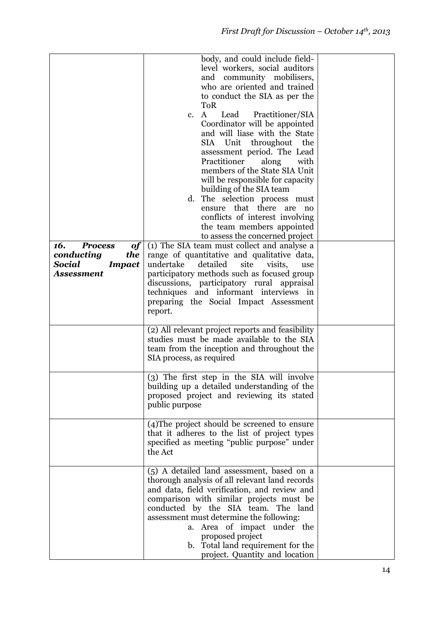| 16.<br><b>Process</b><br>of                                | body, and could include field-<br>level workers, social auditors<br>and community mobilisers,<br>who are oriented and trained<br>to conduct the SIA as per the<br><b>ToR</b><br>$\mathbf{A}$<br>Lead<br>Practitioner/SIA<br>c.<br>Coordinator will be appointed<br>and will liase with the State<br>Unit throughout<br>SIA<br>the<br>assessment period. The Lead<br>Practitioner<br>along<br>with<br>members of the State SIA Unit<br>will be responsible for capacity<br>building of the SIA team<br>d. The selection process must<br>ensure that there are<br>no<br>conflicts of interest involving<br>the team members appointed<br>to assess the concerned project<br>(1) The SIA team must collect and analyse a |  |
|------------------------------------------------------------|-----------------------------------------------------------------------------------------------------------------------------------------------------------------------------------------------------------------------------------------------------------------------------------------------------------------------------------------------------------------------------------------------------------------------------------------------------------------------------------------------------------------------------------------------------------------------------------------------------------------------------------------------------------------------------------------------------------------------|--|
| the<br>conducting<br>Social<br><b>Impact</b><br>Assessment | range of quantitative and qualitative data,<br>undertake<br>detailed<br>site<br>visits,<br>use<br>participatory methods such as focused group<br>discussions, participatory rural appraisal<br>techniques and informant interviews in<br>preparing the Social Impact Assessment<br>report.                                                                                                                                                                                                                                                                                                                                                                                                                            |  |
|                                                            | (2) All relevant project reports and feasibility<br>studies must be made available to the SIA<br>team from the inception and throughout the<br>SIA process, as required                                                                                                                                                                                                                                                                                                                                                                                                                                                                                                                                               |  |
|                                                            | (3) The first step in the SIA will involve<br>building up a detailed understanding of the<br>proposed project and reviewing its stated<br>public purpose                                                                                                                                                                                                                                                                                                                                                                                                                                                                                                                                                              |  |
|                                                            | (4) The project should be screened to ensure<br>that it adheres to the list of project types<br>specified as meeting "public purpose" under<br>the Act                                                                                                                                                                                                                                                                                                                                                                                                                                                                                                                                                                |  |
|                                                            | (5) A detailed land assessment, based on a<br>thorough analysis of all relevant land records<br>and data, field verification, and review and<br>comparison with similar projects must be<br>conducted by the SIA team. The land<br>assessment must determine the following:<br>a. Area of impact under the<br>proposed project<br>b. Total land requirement for the<br>project. Quantity and location                                                                                                                                                                                                                                                                                                                 |  |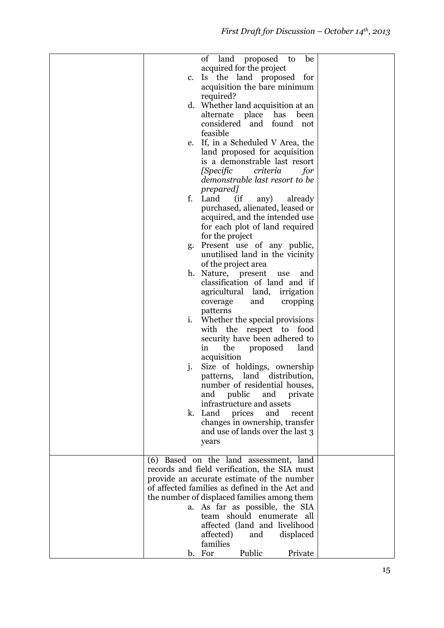|                | of<br>land proposed<br>be<br>to                |  |
|----------------|------------------------------------------------|--|
|                | acquired for the project                       |  |
| c.             | Is the land proposed for                       |  |
|                | acquisition the bare minimum                   |  |
|                | required?                                      |  |
|                | d. Whether land acquisition at an              |  |
|                |                                                |  |
|                | alternate place<br>has<br>been                 |  |
|                | considered and found<br>not                    |  |
|                | feasible                                       |  |
| e.             | If, in a Scheduled V Area, the                 |  |
|                | land proposed for acquisition                  |  |
|                | is a demonstrable last resort                  |  |
|                | [Specific<br>criteria<br>for                   |  |
|                | demonstrable last resort to be                 |  |
|                |                                                |  |
|                | prepared]                                      |  |
| f.             | (ii)<br>Land<br>any)<br>already                |  |
|                | purchased, alienated, leased or                |  |
|                | acquired, and the intended use                 |  |
|                | for each plot of land required                 |  |
|                | for the project                                |  |
| g.             | Present use of any public,                     |  |
|                | unutilised land in the vicinity                |  |
|                | of the project area                            |  |
|                |                                                |  |
| h.             | Nature, present<br>use<br>and                  |  |
|                | classification of land and if                  |  |
|                | agricultural land, irrigation                  |  |
|                | and<br>cropping<br>coverage                    |  |
|                | patterns                                       |  |
| i.             | Whether the special provisions                 |  |
|                | with the<br>respect to food                    |  |
|                | security have been adhered to                  |  |
|                |                                                |  |
|                | the<br>proposed<br>land<br>in                  |  |
|                | acquisition                                    |  |
| $\mathbf{j}$ . | Size of holdings, ownership                    |  |
|                | patterns, land distribution,                   |  |
|                | number of residential houses,                  |  |
|                | public<br>and private<br>and                   |  |
|                | infrastructure and assets                      |  |
|                | prices<br>k. Land<br>and<br>recent             |  |
|                | changes in ownership, transfer                 |  |
|                |                                                |  |
|                | and use of lands over the last 3               |  |
|                | years                                          |  |
|                |                                                |  |
|                | (6) Based on the land assessment, land         |  |
|                | records and field verification, the SIA must   |  |
|                | provide an accurate estimate of the number     |  |
|                | of affected families as defined in the Act and |  |
|                | the number of displaced families among them    |  |
|                | a. As far as possible, the SIA                 |  |
|                | team should enumerate all                      |  |
|                | affected (land and livelihood                  |  |
|                |                                                |  |
|                | affected)<br>and<br>displaced                  |  |
|                | families                                       |  |
|                | Public<br>b. For<br>Private                    |  |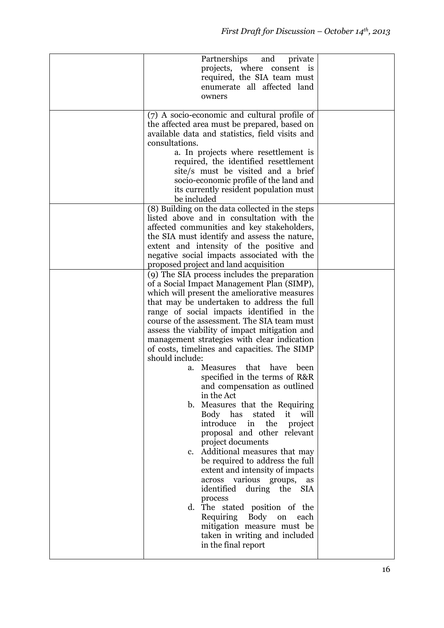| Partnerships<br>and<br>private<br>projects, where consent is<br>required, the SIA team must<br>enumerate all affected land<br>owners                                                                                                                                                                                                                                                                                                                                                                                                                                                                                                                                                                                                                                                                                                                                                                                                                                                                                                                                                        |  |
|---------------------------------------------------------------------------------------------------------------------------------------------------------------------------------------------------------------------------------------------------------------------------------------------------------------------------------------------------------------------------------------------------------------------------------------------------------------------------------------------------------------------------------------------------------------------------------------------------------------------------------------------------------------------------------------------------------------------------------------------------------------------------------------------------------------------------------------------------------------------------------------------------------------------------------------------------------------------------------------------------------------------------------------------------------------------------------------------|--|
| (7) A socio-economic and cultural profile of<br>the affected area must be prepared, based on<br>available data and statistics, field visits and<br>consultations.<br>a. In projects where resettlement is<br>required, the identified resettlement<br>site/s must be visited and a brief<br>socio-economic profile of the land and<br>its currently resident population must<br>be included                                                                                                                                                                                                                                                                                                                                                                                                                                                                                                                                                                                                                                                                                                 |  |
| (8) Building on the data collected in the steps<br>listed above and in consultation with the<br>affected communities and key stakeholders,<br>the SIA must identify and assess the nature,<br>extent and intensity of the positive and<br>negative social impacts associated with the<br>proposed project and land acquisition                                                                                                                                                                                                                                                                                                                                                                                                                                                                                                                                                                                                                                                                                                                                                              |  |
| (9) The SIA process includes the preparation<br>of a Social Impact Management Plan (SIMP),<br>which will present the ameliorative measures<br>that may be undertaken to address the full<br>range of social impacts identified in the<br>course of the assessment. The SIA team must<br>assess the viability of impact mitigation and<br>management strategies with clear indication<br>of costs, timelines and capacities. The SIMP<br>should include:<br>a. Measures that<br>have<br>been<br>specified in the terms of R&R<br>and compensation as outlined<br>in the Act<br>b. Measures that the Requiring<br>Body has<br>stated<br>it<br>will<br>introduce<br>the<br>in<br>project<br>proposal and other relevant<br>project documents<br>c. Additional measures that may<br>be required to address the full<br>extent and intensity of impacts<br>various groups,<br>across<br>as<br>identified during the<br><b>SIA</b><br>process<br>d. The stated position of the<br>Requiring Body on<br>each<br>mitigation measure must be<br>taken in writing and included<br>in the final report |  |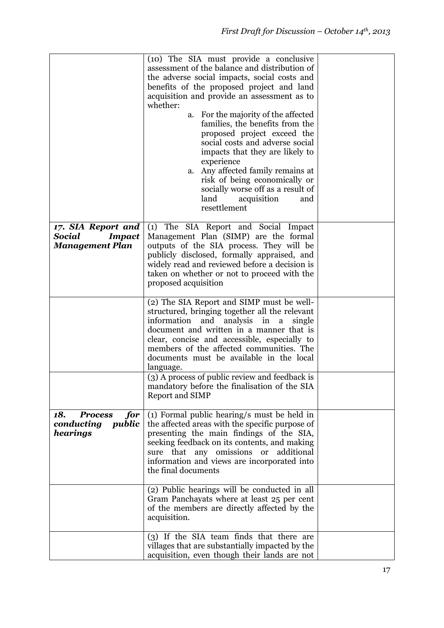|                                                                         | (10) The SIA must provide a conclusive<br>assessment of the balance and distribution of<br>the adverse social impacts, social costs and<br>benefits of the proposed project and land<br>acquisition and provide an assessment as to<br>whether:<br>a. For the majority of the affected<br>families, the benefits from the<br>proposed project exceed the<br>social costs and adverse social<br>impacts that they are likely to<br>experience<br>a. Any affected family remains at<br>risk of being economically or<br>socially worse off as a result of<br>land<br>acquisition<br>and<br>resettlement |  |
|-------------------------------------------------------------------------|-------------------------------------------------------------------------------------------------------------------------------------------------------------------------------------------------------------------------------------------------------------------------------------------------------------------------------------------------------------------------------------------------------------------------------------------------------------------------------------------------------------------------------------------------------------------------------------------------------|--|
| 17. SIA Report and<br>Social<br><b>Impact</b><br><b>Management Plan</b> | (1) The SIA Report and Social Impact<br>Management Plan (SIMP) are the formal<br>outputs of the SIA process. They will be<br>publicly disclosed, formally appraised, and<br>widely read and reviewed before a decision is<br>taken on whether or not to proceed with the<br>proposed acquisition                                                                                                                                                                                                                                                                                                      |  |
|                                                                         | (2) The SIA Report and SIMP must be well-<br>structured, bringing together all the relevant<br>analysis in<br>information<br>and<br>a<br>single<br>document and written in a manner that is<br>clear, concise and accessible, especially to<br>members of the affected communities. The<br>documents must be available in the local<br>language.                                                                                                                                                                                                                                                      |  |
|                                                                         | (3) A process of public review and feedback is<br>mandatory before the finalisation of the SIA<br><b>Report and SIMP</b>                                                                                                                                                                                                                                                                                                                                                                                                                                                                              |  |
| 18.<br>for<br><b>Process</b><br>conducting<br>public<br>hearings        | (1) Formal public hearing/s must be held in<br>the affected areas with the specific purpose of<br>presenting the main findings of the SIA,<br>seeking feedback on its contents, and making<br>sure that any omissions or additional<br>information and views are incorporated into<br>the final documents                                                                                                                                                                                                                                                                                             |  |
|                                                                         | $\overline{(2)}$ Public hearings will be conducted in all<br>Gram Panchayats where at least 25 per cent<br>of the members are directly affected by the<br>acquisition.                                                                                                                                                                                                                                                                                                                                                                                                                                |  |
|                                                                         | (3) If the SIA team finds that there are<br>villages that are substantially impacted by the<br>acquisition, even though their lands are not                                                                                                                                                                                                                                                                                                                                                                                                                                                           |  |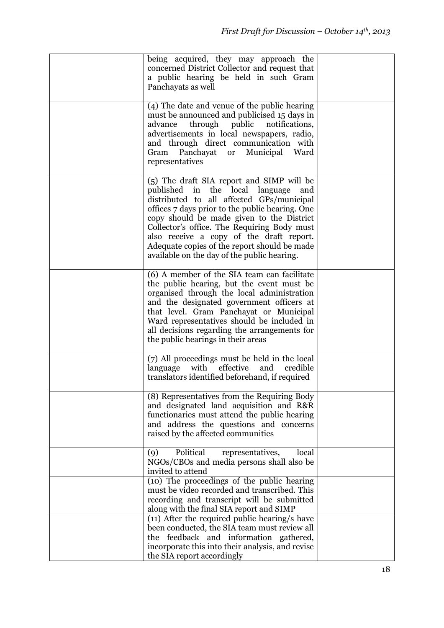| being acquired, they may approach the<br>concerned District Collector and request that<br>a public hearing be held in such Gram<br>Panchayats as well                                                                                                                                                                                                                                                                      |  |
|----------------------------------------------------------------------------------------------------------------------------------------------------------------------------------------------------------------------------------------------------------------------------------------------------------------------------------------------------------------------------------------------------------------------------|--|
| (4) The date and venue of the public hearing<br>must be announced and publicised 15 days in<br>through<br>public<br>notifications,<br>advance<br>advertisements in local newspapers, radio,<br>and through direct communication with<br>Gram<br>Panchayat<br>Municipal<br><sub>or</sub><br>Ward<br>representatives                                                                                                         |  |
| (5) The draft SIA report and SIMP will be<br>published in the local language<br>and<br>distributed to all affected GPs/municipal<br>offices 7 days prior to the public hearing. One<br>copy should be made given to the District<br>Collector's office. The Requiring Body must<br>also receive a copy of the draft report.<br>Adequate copies of the report should be made<br>available on the day of the public hearing. |  |
| (6) A member of the SIA team can facilitate<br>the public hearing, but the event must be<br>organised through the local administration<br>and the designated government officers at<br>that level. Gram Panchayat or Municipal<br>Ward representatives should be included in<br>all decisions regarding the arrangements for<br>the public hearings in their areas                                                         |  |
| (7) All proceedings must be held in the local<br>with<br>effective<br>and<br>credible<br>language<br>translators identified beforehand, if required                                                                                                                                                                                                                                                                        |  |
| (8) Representatives from the Requiring Body<br>and designated land acquisition and R&R<br>functionaries must attend the public hearing<br>and address the questions and concerns<br>raised by the affected communities                                                                                                                                                                                                     |  |
| Political<br>local<br>representatives,<br>(9)<br>NGOs/CBOs and media persons shall also be<br>invited to attend                                                                                                                                                                                                                                                                                                            |  |
| (10) The proceedings of the public hearing<br>must be video recorded and transcribed. This<br>recording and transcript will be submitted<br>along with the final SIA report and SIMP                                                                                                                                                                                                                                       |  |
| $(11)$ After the required public hearing/s have<br>been conducted, the SIA team must review all<br>the feedback and information gathered,<br>incorporate this into their analysis, and revise<br>the SIA report accordingly                                                                                                                                                                                                |  |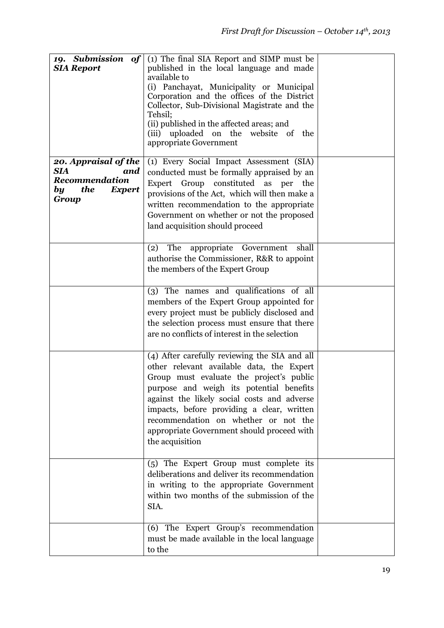| 19. Submission of<br><b>SIA Report</b>                                                             | (1) The final SIA Report and SIMP must be<br>published in the local language and made<br>available to<br>(i) Panchayat, Municipality or Municipal<br>Corporation and the offices of the District<br>Collector, Sub-Divisional Magistrate and the<br>Tehsil;<br>(ii) published in the affected areas; and<br>(iii) uploaded on the website of the<br>appropriate Government               |  |
|----------------------------------------------------------------------------------------------------|------------------------------------------------------------------------------------------------------------------------------------------------------------------------------------------------------------------------------------------------------------------------------------------------------------------------------------------------------------------------------------------|--|
| 20. Appraisal of the<br>SIA<br>and<br><b>Recommendation</b><br>the<br><b>Expert</b><br>by<br>Group | (1) Every Social Impact Assessment (SIA)<br>conducted must be formally appraised by an<br>Expert Group constituted as per the<br>provisions of the Act, which will then make a<br>written recommendation to the appropriate<br>Government on whether or not the proposed<br>land acquisition should proceed                                                                              |  |
|                                                                                                    | (2)<br>The<br>appropriate Government<br>shall<br>authorise the Commissioner, R&R to appoint<br>the members of the Expert Group                                                                                                                                                                                                                                                           |  |
|                                                                                                    | (3) The names and qualifications of all<br>members of the Expert Group appointed for<br>every project must be publicly disclosed and<br>the selection process must ensure that there<br>are no conflicts of interest in the selection                                                                                                                                                    |  |
|                                                                                                    | (4) After carefully reviewing the SIA and all<br>other relevant available data, the Expert<br>Group must evaluate the project's public<br>purpose and weigh its potential benefits<br>against the likely social costs and adverse<br>impacts, before providing a clear, written<br>recommendation on whether or not the<br>appropriate Government should proceed with<br>the acquisition |  |
|                                                                                                    | (5) The Expert Group must complete its<br>deliberations and deliver its recommendation<br>in writing to the appropriate Government<br>within two months of the submission of the<br>SIA.                                                                                                                                                                                                 |  |
|                                                                                                    | (6) The Expert Group's recommendation<br>must be made available in the local language<br>to the                                                                                                                                                                                                                                                                                          |  |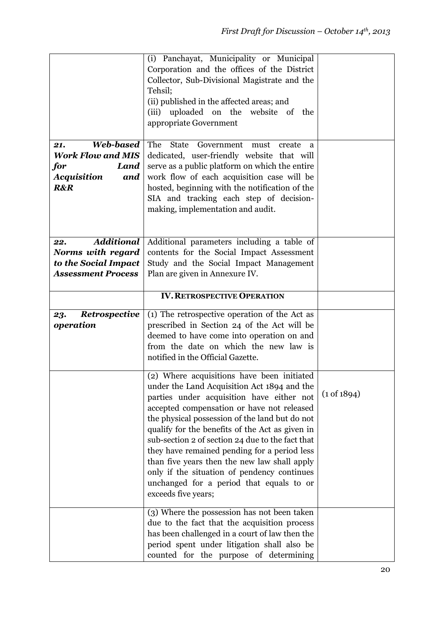| <b>Web-based</b><br>21.<br><b>Work Flow and MIS</b><br>Land<br>for<br><b>Acquisition</b><br>and<br><b>R&amp;R</b> | (i) Panchayat, Municipality or Municipal<br>Corporation and the offices of the District<br>Collector, Sub-Divisional Magistrate and the<br>Tehsil;<br>(ii) published in the affected areas; and<br>(iii) uploaded on the website of the<br>appropriate Government<br>The<br><b>State</b><br>Government<br>must<br>create<br>a<br>dedicated, user-friendly website that will<br>serve as a public platform on which the entire<br>work flow of each acquisition case will be<br>hosted, beginning with the notification of the<br>SIA and tracking each step of decision-<br>making, implementation and audit. |                        |
|-------------------------------------------------------------------------------------------------------------------|---------------------------------------------------------------------------------------------------------------------------------------------------------------------------------------------------------------------------------------------------------------------------------------------------------------------------------------------------------------------------------------------------------------------------------------------------------------------------------------------------------------------------------------------------------------------------------------------------------------|------------------------|
| <b>Additional</b><br>22.                                                                                          | Additional parameters including a table of                                                                                                                                                                                                                                                                                                                                                                                                                                                                                                                                                                    |                        |
| Norms with regard                                                                                                 | contents for the Social Impact Assessment                                                                                                                                                                                                                                                                                                                                                                                                                                                                                                                                                                     |                        |
| to the Social Impact                                                                                              | Study and the Social Impact Management                                                                                                                                                                                                                                                                                                                                                                                                                                                                                                                                                                        |                        |
| <b>Assessment Process</b>                                                                                         | Plan are given in Annexure IV.                                                                                                                                                                                                                                                                                                                                                                                                                                                                                                                                                                                |                        |
|                                                                                                                   | <b>IV. RETROSPECTIVE OPERATION</b>                                                                                                                                                                                                                                                                                                                                                                                                                                                                                                                                                                            |                        |
| Retrospective<br>23.                                                                                              | (1) The retrospective operation of the Act as                                                                                                                                                                                                                                                                                                                                                                                                                                                                                                                                                                 |                        |
| operation                                                                                                         | prescribed in Section 24 of the Act will be                                                                                                                                                                                                                                                                                                                                                                                                                                                                                                                                                                   |                        |
|                                                                                                                   | deemed to have come into operation on and                                                                                                                                                                                                                                                                                                                                                                                                                                                                                                                                                                     |                        |
|                                                                                                                   | from the date on which the new law is<br>notified in the Official Gazette.                                                                                                                                                                                                                                                                                                                                                                                                                                                                                                                                    |                        |
|                                                                                                                   |                                                                                                                                                                                                                                                                                                                                                                                                                                                                                                                                                                                                               |                        |
|                                                                                                                   | (2) Where acquisitions have been initiated<br>under the Land Acquisition Act 1894 and the<br>parties under acquisition have either not<br>accepted compensation or have not released                                                                                                                                                                                                                                                                                                                                                                                                                          | $(1 \text{ of } 1894)$ |
|                                                                                                                   | the physical possession of the land but do not                                                                                                                                                                                                                                                                                                                                                                                                                                                                                                                                                                |                        |
|                                                                                                                   | qualify for the benefits of the Act as given in<br>sub-section 2 of section 24 due to the fact that                                                                                                                                                                                                                                                                                                                                                                                                                                                                                                           |                        |
|                                                                                                                   | they have remained pending for a period less                                                                                                                                                                                                                                                                                                                                                                                                                                                                                                                                                                  |                        |
|                                                                                                                   | than five years then the new law shall apply<br>only if the situation of pendency continues                                                                                                                                                                                                                                                                                                                                                                                                                                                                                                                   |                        |
|                                                                                                                   | unchanged for a period that equals to or                                                                                                                                                                                                                                                                                                                                                                                                                                                                                                                                                                      |                        |
|                                                                                                                   | exceeds five years;                                                                                                                                                                                                                                                                                                                                                                                                                                                                                                                                                                                           |                        |
|                                                                                                                   | (3) Where the possession has not been taken                                                                                                                                                                                                                                                                                                                                                                                                                                                                                                                                                                   |                        |
|                                                                                                                   | due to the fact that the acquisition process<br>has been challenged in a court of law then the                                                                                                                                                                                                                                                                                                                                                                                                                                                                                                                |                        |
|                                                                                                                   | period spent under litigation shall also be                                                                                                                                                                                                                                                                                                                                                                                                                                                                                                                                                                   |                        |
|                                                                                                                   | counted for the purpose of determining                                                                                                                                                                                                                                                                                                                                                                                                                                                                                                                                                                        |                        |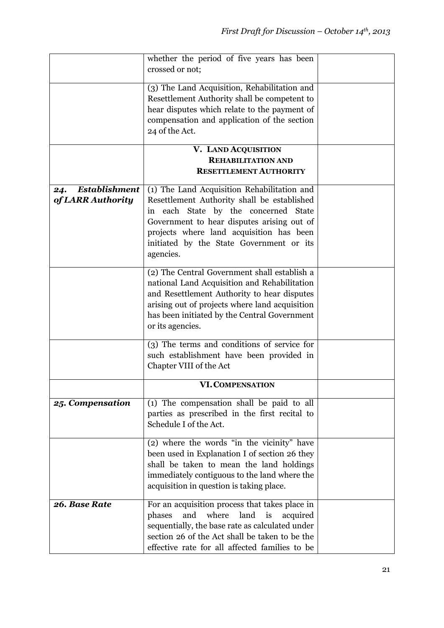|                                                  | whether the period of five years has been                                                                                                                                                                                                                                             |  |
|--------------------------------------------------|---------------------------------------------------------------------------------------------------------------------------------------------------------------------------------------------------------------------------------------------------------------------------------------|--|
|                                                  | crossed or not;                                                                                                                                                                                                                                                                       |  |
|                                                  | (3) The Land Acquisition, Rehabilitation and<br>Resettlement Authority shall be competent to<br>hear disputes which relate to the payment of<br>compensation and application of the section<br>24 of the Act.                                                                         |  |
|                                                  | V. LAND ACQUISITION                                                                                                                                                                                                                                                                   |  |
|                                                  | <b>REHABILITATION AND</b>                                                                                                                                                                                                                                                             |  |
|                                                  | <b>RESETTLEMENT AUTHORITY</b>                                                                                                                                                                                                                                                         |  |
| <b>Establishment</b><br>24.<br>of LARR Authority | (1) The Land Acquisition Rehabilitation and<br>Resettlement Authority shall be established<br>in each State by the concerned State<br>Government to hear disputes arising out of<br>projects where land acquisition has been<br>initiated by the State Government or its<br>agencies. |  |
|                                                  | (2) The Central Government shall establish a<br>national Land Acquisition and Rehabilitation<br>and Resettlement Authority to hear disputes<br>arising out of projects where land acquisition<br>has been initiated by the Central Government<br>or its agencies.                     |  |
|                                                  | (3) The terms and conditions of service for<br>such establishment have been provided in<br>Chapter VIII of the Act                                                                                                                                                                    |  |
|                                                  | <b>VI. COMPENSATION</b>                                                                                                                                                                                                                                                               |  |
| 25. Compensation                                 | (1) The compensation shall be paid to all<br>parties as prescribed in the first recital to<br>Schedule I of the Act.                                                                                                                                                                  |  |
|                                                  | (2) where the words "in the vicinity" have<br>been used in Explanation I of section 26 they<br>shall be taken to mean the land holdings<br>immediately contiguous to the land where the<br>acquisition in question is taking place.                                                   |  |
| 26. Base Rate                                    | For an acquisition process that takes place in<br>phases<br>and<br>where<br>land<br>is<br>acquired<br>sequentially, the base rate as calculated under<br>section 26 of the Act shall be taken to be the<br>effective rate for all affected families to be                             |  |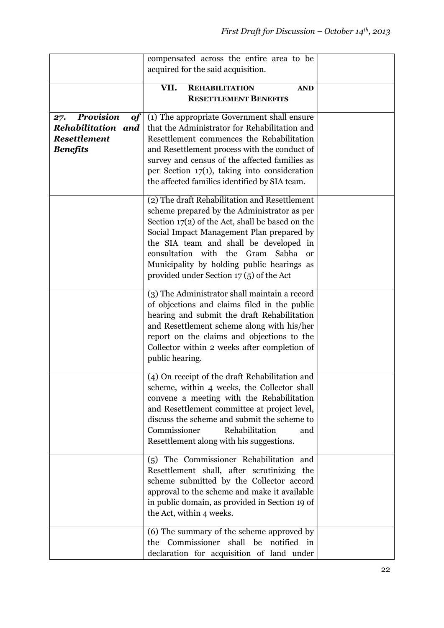|                               | compensated across the entire area to be                                                      |  |
|-------------------------------|-----------------------------------------------------------------------------------------------|--|
|                               | acquired for the said acquisition.                                                            |  |
|                               | VII.<br><b>REHABILITATION</b><br><b>AND</b>                                                   |  |
|                               | <b>RESETTLEMENT BENEFITS</b>                                                                  |  |
| <b>Provision</b><br>27.<br>of | (1) The appropriate Government shall ensure                                                   |  |
| Rehabilitation and            | that the Administrator for Rehabilitation and                                                 |  |
| <b>Resettlement</b>           | Resettlement commences the Rehabilitation                                                     |  |
| <b>Benefits</b>               | and Resettlement process with the conduct of                                                  |  |
|                               | survey and census of the affected families as                                                 |  |
|                               | per Section $17(1)$ , taking into consideration                                               |  |
|                               | the affected families identified by SIA team.                                                 |  |
|                               | (2) The draft Rehabilitation and Resettlement                                                 |  |
|                               | scheme prepared by the Administrator as per                                                   |  |
|                               | Section 17(2) of the Act, shall be based on the                                               |  |
|                               | Social Impact Management Plan prepared by<br>the SIA team and shall be developed in           |  |
|                               | consultation with the Gram<br>Sabha<br><b>or</b>                                              |  |
|                               | Municipality by holding public hearings as                                                    |  |
|                               | provided under Section $17(5)$ of the Act                                                     |  |
|                               |                                                                                               |  |
|                               | (3) The Administrator shall maintain a record<br>of objections and claims filed in the public |  |
|                               | hearing and submit the draft Rehabilitation                                                   |  |
|                               | and Resettlement scheme along with his/her                                                    |  |
|                               | report on the claims and objections to the                                                    |  |
|                               | Collector within 2 weeks after completion of                                                  |  |
|                               | public hearing.                                                                               |  |
|                               | (4) On receipt of the draft Rehabilitation and                                                |  |
|                               | scheme, within 4 weeks, the Collector shall                                                   |  |
|                               | convene a meeting with the Rehabilitation                                                     |  |
|                               | and Resettlement committee at project level,                                                  |  |
|                               | discuss the scheme and submit the scheme to                                                   |  |
|                               | Rehabilitation<br>Commissioner<br>and                                                         |  |
|                               | Resettlement along with his suggestions.                                                      |  |
|                               | (5) The Commissioner Rehabilitation and                                                       |  |
|                               | Resettlement shall, after scrutinizing the                                                    |  |
|                               | scheme submitted by the Collector accord                                                      |  |
|                               | approval to the scheme and make it available                                                  |  |
|                               | in public domain, as provided in Section 19 of                                                |  |
|                               | the Act, within 4 weeks.                                                                      |  |
|                               | (6) The summary of the scheme approved by                                                     |  |
|                               | Commissioner<br>shall be<br>notified<br>the<br>in                                             |  |
|                               | declaration for acquisition of land under                                                     |  |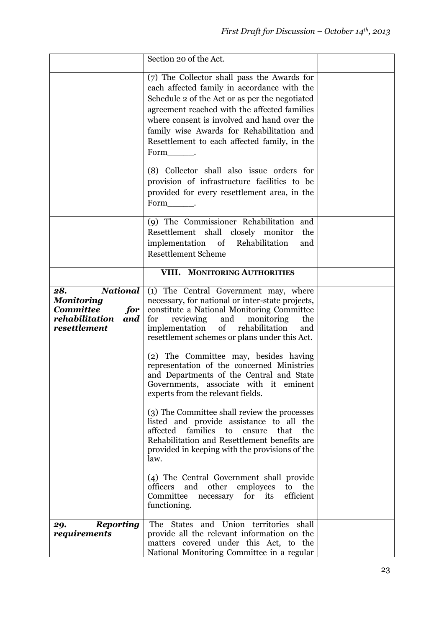|                                                                                                          | Section 20 of the Act.                                                                                                                                                                                                                                                                                                                             |  |
|----------------------------------------------------------------------------------------------------------|----------------------------------------------------------------------------------------------------------------------------------------------------------------------------------------------------------------------------------------------------------------------------------------------------------------------------------------------------|--|
|                                                                                                          | (7) The Collector shall pass the Awards for<br>each affected family in accordance with the<br>Schedule 2 of the Act or as per the negotiated<br>agreement reached with the affected families<br>where consent is involved and hand over the<br>family wise Awards for Rehabilitation and<br>Resettlement to each affected family, in the<br>Form . |  |
|                                                                                                          | (8) Collector shall also issue orders for<br>provision of infrastructure facilities to be<br>provided for every resettlement area, in the<br>Form .                                                                                                                                                                                                |  |
|                                                                                                          | (9) The Commissioner Rehabilitation and<br>Resettlement shall closely monitor<br>the<br>implementation of Rehabilitation<br>and<br><b>Resettlement Scheme</b>                                                                                                                                                                                      |  |
|                                                                                                          | VIII. MONITORING AUTHORITIES                                                                                                                                                                                                                                                                                                                       |  |
| <b>National</b><br>28.<br>Monitoring<br><b>Committee</b><br>for<br>rehabilitation<br>and<br>resettlement | (1) The Central Government may, where<br>necessary, for national or inter-state projects,<br>constitute a National Monitoring Committee<br>for<br>reviewing<br>and<br>monitoring<br>the<br>implementation<br>of rehabilitation<br>and<br>resettlement schemes or plans under this Act.                                                             |  |
|                                                                                                          | (2) The Committee may, besides having<br>representation of the concerned Ministries<br>and Departments of the Central and State<br>Governments, associate with it eminent<br>experts from the relevant fields.                                                                                                                                     |  |
|                                                                                                          | (3) The Committee shall review the processes<br>listed and provide assistance to all the<br>affected<br>families<br>to<br>ensure<br>that<br>the<br>Rehabilitation and Resettlement benefits are<br>provided in keeping with the provisions of the<br>law.                                                                                          |  |
|                                                                                                          | (4) The Central Government shall provide<br>other<br>officers<br>and<br>employees<br>to<br>the<br>efficient<br>Committee<br>for<br>its<br>necessary<br>functioning.                                                                                                                                                                                |  |
| <b>Reporting</b><br>29.<br>requirements                                                                  | The States and Union territories shall<br>provide all the relevant information on the<br>matters covered under this Act, to the<br>National Monitoring Committee in a regular                                                                                                                                                                      |  |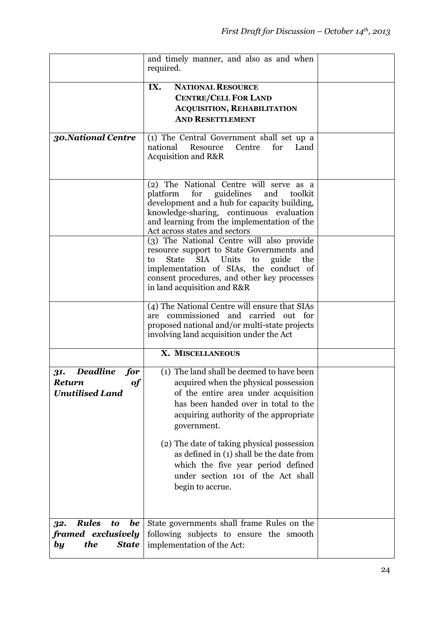|                                                                                               | and timely manner, and also as and when<br>required.                                                                                                                                                                                                                                                                                                                                                                               |  |
|-----------------------------------------------------------------------------------------------|------------------------------------------------------------------------------------------------------------------------------------------------------------------------------------------------------------------------------------------------------------------------------------------------------------------------------------------------------------------------------------------------------------------------------------|--|
|                                                                                               | IX.<br><b>NATIONAL RESOURCE</b><br><b>CENTRE/CELL FOR LAND</b><br><b>ACQUISITION, REHABILITATION</b><br><b>AND RESETTLEMENT</b>                                                                                                                                                                                                                                                                                                    |  |
| 30. National Centre                                                                           | (1) The Central Government shall set up a<br>national<br>Resource<br>Centre<br>for<br>Land<br><b>Acquisition and R&amp;R</b>                                                                                                                                                                                                                                                                                                       |  |
|                                                                                               | (2) The National Centre will serve as a<br>platform<br>for<br>guidelines<br>and<br>toolkit<br>development and a hub for capacity building,<br>knowledge-sharing, continuous evaluation<br>and learning from the implementation of the<br>Act across states and sectors                                                                                                                                                             |  |
|                                                                                               | (3) The National Centre will also provide<br>resource support to State Governments and<br>State<br>Units<br><b>SIA</b><br>to<br>guide<br>the<br>to<br>implementation of SIAs, the conduct of<br>consent procedures, and other key processes<br>in land acquisition and R&R                                                                                                                                                         |  |
|                                                                                               | (4) The National Centre will ensure that SIAs<br>are commissioned and carried out for<br>proposed national and/or multi-state projects<br>involving land acquisition under the Act                                                                                                                                                                                                                                                 |  |
|                                                                                               | X. MISCELLANEOUS                                                                                                                                                                                                                                                                                                                                                                                                                   |  |
| <b>Deadline</b><br>for<br>31.<br>$\boldsymbol{of}$<br><b>Return</b><br><b>Unutilised Land</b> | $\overline{(1)}$ The land shall be deemed to have been<br>acquired when the physical possession<br>of the entire area under acquisition<br>has been handed over in total to the<br>acquiring authority of the appropriate<br>government.<br>(2) The date of taking physical possession<br>as defined in (1) shall be the date from<br>which the five year period defined<br>under section 101 of the Act shall<br>begin to accrue. |  |
| <b>Rules</b><br>be<br>to<br>32.<br>framed exclusively<br>the<br><b>State</b><br>by            | State governments shall frame Rules on the<br>following subjects to ensure the smooth<br>implementation of the Act:                                                                                                                                                                                                                                                                                                                |  |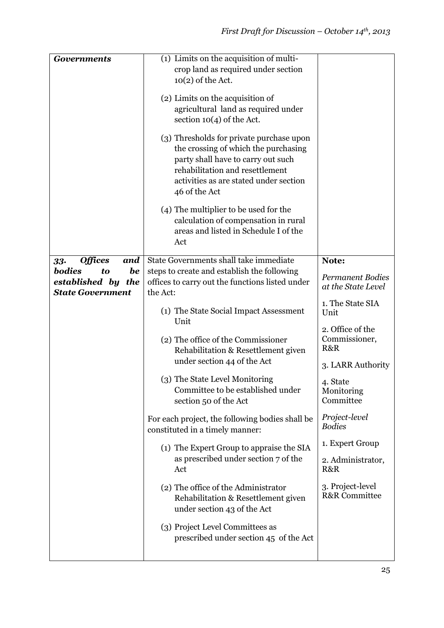| <b>Governments</b>                                                         | (1) Limits on the acquisition of multi-<br>crop land as required under section<br>$10(2)$ of the Act.<br>(2) Limits on the acquisition of<br>agricultural land as required under<br>section $10(4)$ of the Act.<br>(3) Thresholds for private purchase upon |                                               |
|----------------------------------------------------------------------------|-------------------------------------------------------------------------------------------------------------------------------------------------------------------------------------------------------------------------------------------------------------|-----------------------------------------------|
|                                                                            | the crossing of which the purchasing<br>party shall have to carry out such<br>rehabilitation and resettlement<br>activities as are stated under section<br>46 of the Act                                                                                    |                                               |
|                                                                            | (4) The multiplier to be used for the<br>calculation of compensation in rural<br>areas and listed in Schedule I of the<br>Act                                                                                                                               |                                               |
| <b>Offices</b><br>and<br>33.                                               | State Governments shall take immediate                                                                                                                                                                                                                      | Note:                                         |
| <b>bodies</b><br>be<br>to<br>established by the<br><b>State Government</b> | steps to create and establish the following<br>offices to carry out the functions listed under<br>the Act:                                                                                                                                                  | <b>Permanent Bodies</b><br>at the State Level |
|                                                                            | (1) The State Social Impact Assessment<br>Unit                                                                                                                                                                                                              | 1. The State SIA<br>Unit                      |
|                                                                            | (2) The office of the Commissioner<br>Rehabilitation & Resettlement given<br>under section 44 of the Act                                                                                                                                                    | 2. Office of the<br>Commissioner,<br>R&R      |
|                                                                            |                                                                                                                                                                                                                                                             | 3. LARR Authority                             |
|                                                                            | (3) The State Level Monitoring<br>Committee to be established under<br>section 50 of the Act                                                                                                                                                                | 4. State<br>Monitoring<br>Committee           |
|                                                                            | For each project, the following bodies shall be<br>constituted in a timely manner:                                                                                                                                                                          | Project-level<br><b>Bodies</b>                |
|                                                                            |                                                                                                                                                                                                                                                             | 1. Expert Group                               |
|                                                                            | (1) The Expert Group to appraise the SIA<br>as prescribed under section 7 of the<br>Act                                                                                                                                                                     | 2. Administrator,<br>R&R                      |
|                                                                            | (2) The office of the Administrator<br>Rehabilitation & Resettlement given<br>under section 43 of the Act                                                                                                                                                   | 3. Project-level<br><b>R&amp;R</b> Committee  |
|                                                                            | (3) Project Level Committees as<br>prescribed under section 45 of the Act                                                                                                                                                                                   |                                               |
|                                                                            |                                                                                                                                                                                                                                                             |                                               |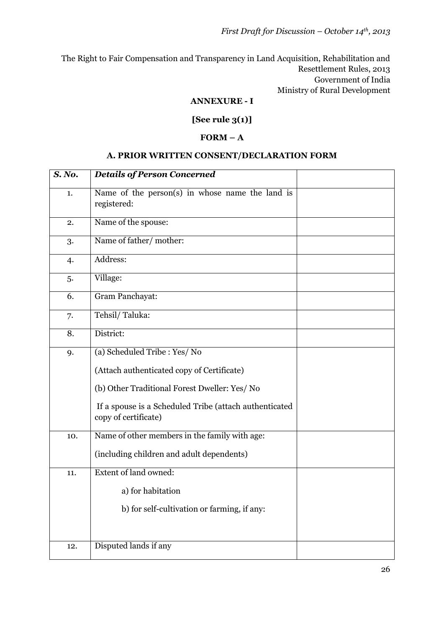The Right to Fair Compensation and Transparency in Land Acquisition, Rehabilitation and Resettlement Rules, 2013 Government of India Ministry of Rural Development

#### **ANNEXURE - I**

### **[See rule 3(1)]**

#### $$

#### **A. PRIOR WRITTEN CONSENT/DECLARATION FORM**

| S. No. | <b>Details of Person Concerned</b>                                             |  |
|--------|--------------------------------------------------------------------------------|--|
| 1.     | Name of the person(s) in whose name the land is<br>registered:                 |  |
| 2.     | Name of the spouse:                                                            |  |
| 3.     | Name of father/mother:                                                         |  |
| 4.     | Address:                                                                       |  |
| 5.     | Village:                                                                       |  |
| 6.     | <b>Gram Panchayat:</b>                                                         |  |
| 7.     | Tehsil/Taluka:                                                                 |  |
| 8.     | District:                                                                      |  |
| 9.     | (a) Scheduled Tribe : Yes/ No                                                  |  |
|        | (Attach authenticated copy of Certificate)                                     |  |
|        | (b) Other Traditional Forest Dweller: Yes/ No                                  |  |
|        | If a spouse is a Scheduled Tribe (attach authenticated<br>copy of certificate) |  |
| 10.    | Name of other members in the family with age:                                  |  |
|        | (including children and adult dependents)                                      |  |
| 11.    | <b>Extent of land owned:</b>                                                   |  |
|        | a) for habitation                                                              |  |
|        | b) for self-cultivation or farming, if any:                                    |  |
|        |                                                                                |  |
| 12.    | Disputed lands if any                                                          |  |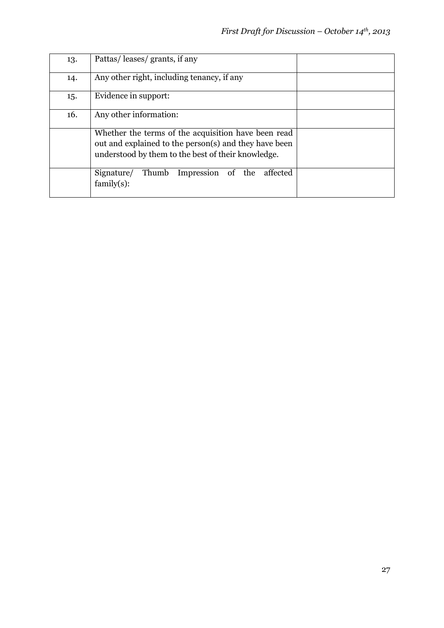| 13. | Pattas/leases/grants, if any                                                                                                                                       |  |
|-----|--------------------------------------------------------------------------------------------------------------------------------------------------------------------|--|
| 14. | Any other right, including tenancy, if any                                                                                                                         |  |
| 15. | Evidence in support:                                                                                                                                               |  |
| 16. | Any other information:                                                                                                                                             |  |
|     | Whether the terms of the acquisition have been read<br>out and explained to the person(s) and they have been<br>understood by them to the best of their knowledge. |  |
|     | Signature/<br>Thumb Impression<br>of the<br>affected<br>family(s):                                                                                                 |  |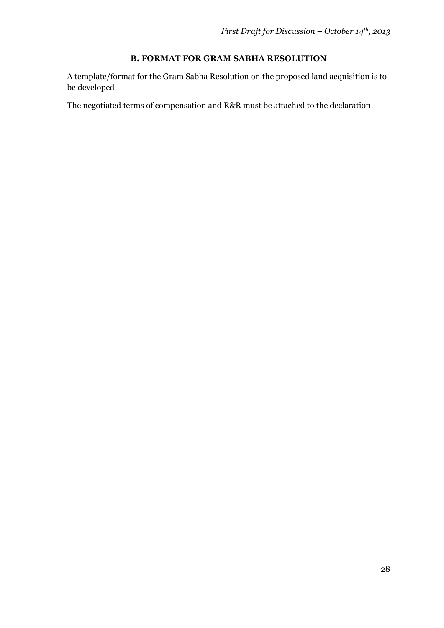## **B. FORMAT FOR GRAM SABHA RESOLUTION**

A template/format for the Gram Sabha Resolution on the proposed land acquisition is to be developed

The negotiated terms of compensation and R&R must be attached to the declaration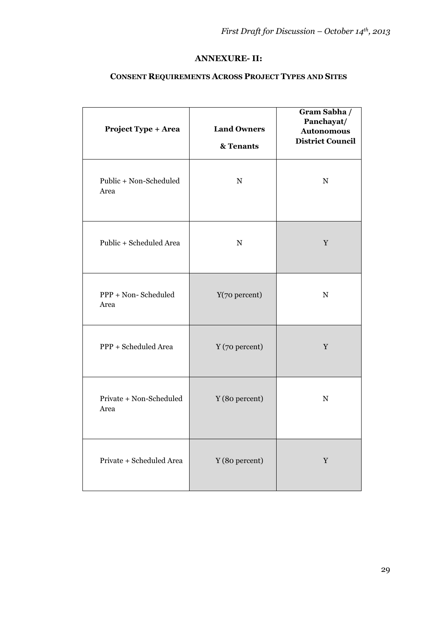#### **ANNEXURE- II:**

### **CONSENT REQUIREMENTS ACROSS PROJECT TYPES AND SITES**

| <b>Project Type + Area</b>      | <b>Land Owners</b><br>& Tenants | Gram Sabha /<br>Panchayat/<br><b>Autonomous</b><br><b>District Council</b> |
|---------------------------------|---------------------------------|----------------------------------------------------------------------------|
| Public + Non-Scheduled<br>Area  | ${\bf N}$                       | ${\bf N}$                                                                  |
| Public + Scheduled Area         | ${\bf N}$                       | $\mathbf Y$                                                                |
| PPP + Non-Scheduled<br>Area     | Y(70 percent)                   | ${\bf N}$                                                                  |
| PPP + Scheduled Area            | Y (70 percent)                  | $\mathbf Y$                                                                |
| Private + Non-Scheduled<br>Area | Y (80 percent)                  | ${\bf N}$                                                                  |
| Private + Scheduled Area        | Y (80 percent)                  | $\mathbf Y$                                                                |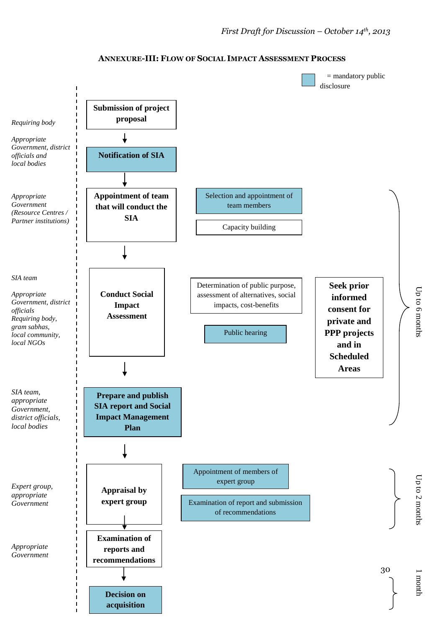

#### **ANNEXURE-III: FLOW OF SOCIAL IMPACT ASSESSMENT PROCESS**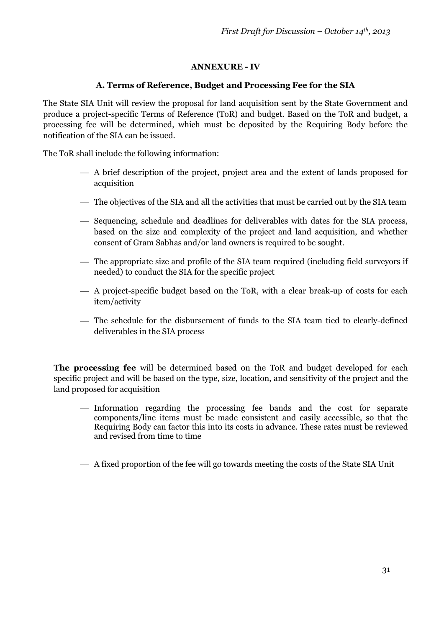### **ANNEXURE - IV**

#### **A. Terms of Reference, Budget and Processing Fee for the SIA**

The State SIA Unit will review the proposal for land acquisition sent by the State Government and produce a project-specific Terms of Reference (ToR) and budget. Based on the ToR and budget, a processing fee will be determined, which must be deposited by the Requiring Body before the notification of the SIA can be issued.

The ToR shall include the following information:

- A brief description of the project, project area and the extent of lands proposed for acquisition
- The objectives of the SIA and all the activities that must be carried out by the SIA team
- $-$  Sequencing, schedule and deadlines for deliverables with dates for the SIA process, based on the size and complexity of the project and land acquisition, and whether consent of Gram Sabhas and/or land owners is required to be sought.
- The appropriate size and profile of the SIA team required (including field surveyors if needed) to conduct the SIA for the specific project
- A project-specific budget based on the ToR, with a clear break-up of costs for each item/activity
- The schedule for the disbursement of funds to the SIA team tied to clearly-defined deliverables in the SIA process

**The processing fee** will be determined based on the ToR and budget developed for each specific project and will be based on the type, size, location, and sensitivity of the project and the land proposed for acquisition

- Information regarding the processing fee bands and the cost for separate components/line items must be made consistent and easily accessible, so that the Requiring Body can factor this into its costs in advance. These rates must be reviewed and revised from time to time
- A fixed proportion of the fee will go towards meeting the costs of the State SIA Unit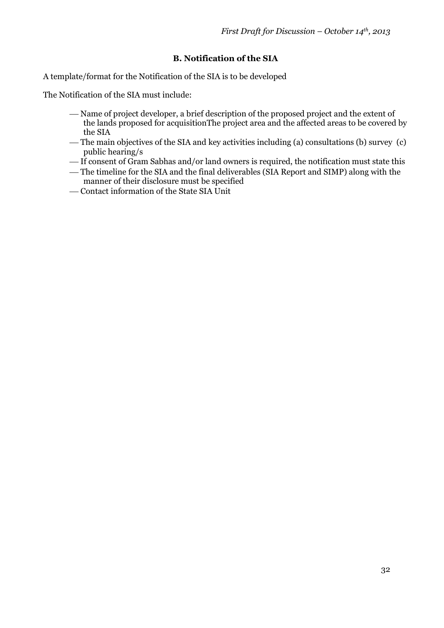### **B. Notification of the SIA**

A template/format for the Notification of the SIA is to be developed

The Notification of the SIA must include:

- Name of project developer, a brief description of the proposed project and the extent of the lands proposed for acquisitionThe project area and the affected areas to be covered by the SIA
- The main objectives of the SIA and key activities including (a) consultations (b) survey (c) public hearing/s
- If consent of Gram Sabhas and/or land owners is required, the notification must state this
- The timeline for the SIA and the final deliverables (SIA Report and SIMP) along with the manner of their disclosure must be specified
- Contact information of the State SIA Unit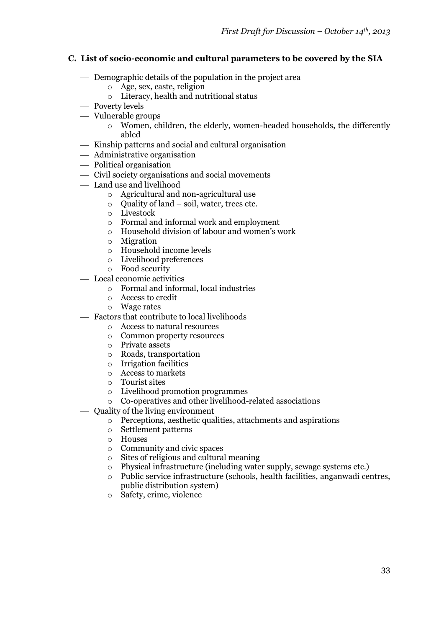#### **C. List of socio-economic and cultural parameters to be covered by the SIA**

- Demographic details of the population in the project area
	- o Age, sex, caste, religion
	- o Literacy, health and nutritional status
- Poverty levels
- Vulnerable groups
	- o Women, children, the elderly, women-headed households, the differently abled
- $-$  Kinship patterns and social and cultural organisation
- Administrative organisation
- Political organisation
- Civil society organisations and social movements
- Land use and livelihood
	- o Agricultural and non-agricultural use
	- o Quality of land soil, water, trees etc.
	- o Livestock
	- o Formal and informal work and employment
	- o Household division of labour and women's work
	- o Migration
	- o Household income levels
	- o Livelihood preferences
	- o Food security
- Local economic activities
	- o Formal and informal, local industries
	- o Access to credit
	- o Wage rates
- Factors that contribute to local livelihoods
	- o Access to natural resources
	- o Common property resources
	- o Private assets
	- o Roads, transportation
	- o Irrigation facilities
	- o Access to markets
	- o Tourist sites
	- o Livelihood promotion programmes
	- o Co-operatives and other livelihood-related associations
- Quality of the living environment
	- o Perceptions, aesthetic qualities, attachments and aspirations
	- o Settlement patterns
	- o Houses
	- o Community and civic spaces
	- o Sites of religious and cultural meaning
	- o Physical infrastructure (including water supply, sewage systems etc.)
	- o Public service infrastructure (schools, health facilities, anganwadi centres, public distribution system)
	- o Safety, crime, violence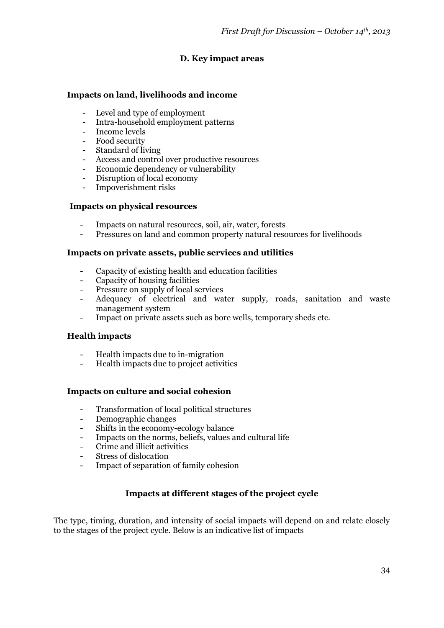### **D. Key impact areas**

#### **Impacts on land, livelihoods and income**

- Level and type of employment
- Intra-household employment patterns
- Income levels
- Food security
- Standard of living
- Access and control over productive resources
- Economic dependency or vulnerability
- Disruption of local economy
- Impoverishment risks

#### **Impacts on physical resources**

- Impacts on natural resources, soil, air, water, forests
- Pressures on land and common property natural resources for livelihoods

#### **Impacts on private assets, public services and utilities**

- Capacity of existing health and education facilities
- Capacity of housing facilities
- Pressure on supply of local services
- Adequacy of electrical and water supply, roads, sanitation and waste management system
- Impact on private assets such as bore wells, temporary sheds etc.

#### **Health impacts**

- Health impacts due to in-migration
- Health impacts due to project activities

#### **Impacts on culture and social cohesion**

- Transformation of local political structures
- Demographic changes
- Shifts in the economy-ecology balance
- Impacts on the norms, beliefs, values and cultural life
- Crime and illicit activities
- Stress of dislocation
- Impact of separation of family cohesion

#### **Impacts at different stages of the project cycle**

The type, timing, duration, and intensity of social impacts will depend on and relate closely to the stages of the project cycle. Below is an indicative list of impacts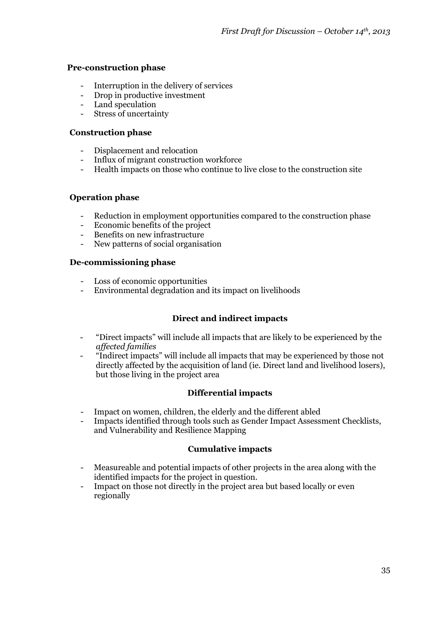#### **Pre-construction phase**

- Interruption in the delivery of services
- Drop in productive investment
- Land speculation
- Stress of uncertainty

#### **Construction phase**

- Displacement and relocation
- Influx of migrant construction workforce
- Health impacts on those who continue to live close to the construction site

### **Operation phase**

- Reduction in employment opportunities compared to the construction phase
- Economic benefits of the project
- Benefits on new infrastructure
- New patterns of social organisation

#### **De-commissioning phase**

- Loss of economic opportunities
- Environmental degradation and its impact on livelihoods

### **Direct and indirect impacts**

- "Direct impacts" will include all impacts that are likely to be experienced by the *affected families*
- "Indirect impacts" will include all impacts that may be experienced by those not directly affected by the acquisition of land (ie. Direct land and livelihood losers), but those living in the project area

### **Differential impacts**

- Impact on women, children, the elderly and the different abled
- Impacts identified through tools such as Gender Impact Assessment Checklists, and Vulnerability and Resilience Mapping

### **Cumulative impacts**

- Measureable and potential impacts of other projects in the area along with the identified impacts for the project in question.
- Impact on those not directly in the project area but based locally or even regionally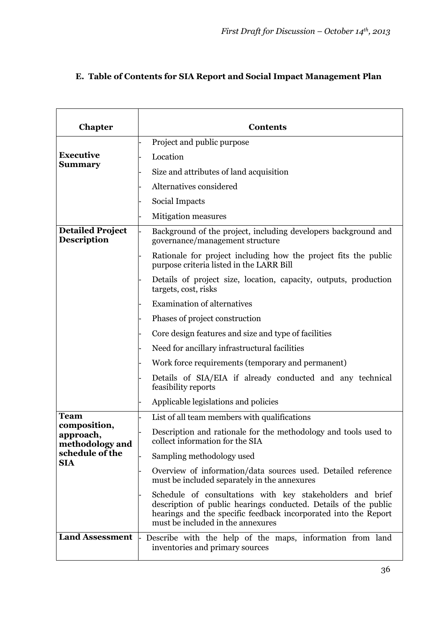## **E. Table of Contents for SIA Report and Social Impact Management Plan**

| <b>Chapter</b>                                                                | <b>Contents</b>                                                                                                                                                                                                                      |
|-------------------------------------------------------------------------------|--------------------------------------------------------------------------------------------------------------------------------------------------------------------------------------------------------------------------------------|
|                                                                               | Project and public purpose                                                                                                                                                                                                           |
| <b>Executive</b>                                                              | Location                                                                                                                                                                                                                             |
| <b>Summary</b>                                                                | Size and attributes of land acquisition                                                                                                                                                                                              |
|                                                                               | Alternatives considered                                                                                                                                                                                                              |
|                                                                               | Social Impacts                                                                                                                                                                                                                       |
|                                                                               | <b>Mitigation measures</b>                                                                                                                                                                                                           |
| <b>Detailed Project</b><br><b>Description</b>                                 | Background of the project, including developers background and<br>governance/management structure                                                                                                                                    |
|                                                                               | Rationale for project including how the project fits the public<br>purpose criteria listed in the LARR Bill                                                                                                                          |
|                                                                               | Details of project size, location, capacity, outputs, production<br>targets, cost, risks                                                                                                                                             |
|                                                                               | <b>Examination of alternatives</b>                                                                                                                                                                                                   |
|                                                                               | Phases of project construction                                                                                                                                                                                                       |
|                                                                               | Core design features and size and type of facilities                                                                                                                                                                                 |
|                                                                               | Need for ancillary infrastructural facilities                                                                                                                                                                                        |
|                                                                               | Work force requirements (temporary and permanent)                                                                                                                                                                                    |
|                                                                               | Details of SIA/EIA if already conducted and any technical<br>feasibility reports                                                                                                                                                     |
|                                                                               | Applicable legislations and policies                                                                                                                                                                                                 |
| <b>Team</b>                                                                   | List of all team members with qualifications                                                                                                                                                                                         |
| composition,<br>approach,<br>methodology and<br>schedule of the<br><b>SIA</b> | Description and rationale for the methodology and tools used to<br>collect information for the SIA                                                                                                                                   |
|                                                                               | Sampling methodology used                                                                                                                                                                                                            |
|                                                                               | Overview of information/data sources used. Detailed reference<br>must be included separately in the annexures                                                                                                                        |
|                                                                               | Schedule of consultations with key stakeholders and brief<br>description of public hearings conducted. Details of the public<br>hearings and the specific feedback incorporated into the Report<br>must be included in the annexures |
| <b>Land Assessment</b>                                                        | Describe with the help of the maps, information from land<br>inventories and primary sources                                                                                                                                         |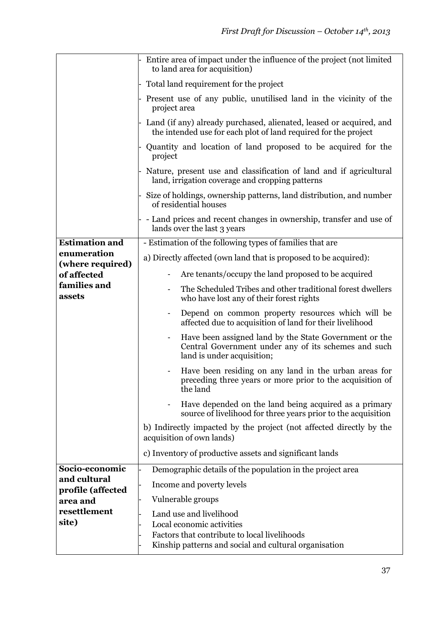|                                 | Entire area of impact under the influence of the project (not limited<br>to land area for acquisition)                                       |
|---------------------------------|----------------------------------------------------------------------------------------------------------------------------------------------|
|                                 | Total land requirement for the project                                                                                                       |
|                                 | Present use of any public, unutilised land in the vicinity of the<br>project area                                                            |
|                                 | Land (if any) already purchased, alienated, leased or acquired, and<br>the intended use for each plot of land required for the project       |
|                                 | Quantity and location of land proposed to be acquired for the<br>project                                                                     |
|                                 | Nature, present use and classification of land and if agricultural<br>land, irrigation coverage and cropping patterns                        |
|                                 | Size of holdings, ownership patterns, land distribution, and number<br>of residential houses                                                 |
|                                 | - Land prices and recent changes in ownership, transfer and use of<br>lands over the last 3 years                                            |
| <b>Estimation and</b>           | - Estimation of the following types of families that are                                                                                     |
| enumeration<br>(where required) | a) Directly affected (own land that is proposed to be acquired):                                                                             |
| of affected                     | Are tenants/occupy the land proposed to be acquired                                                                                          |
| families and<br>assets          | The Scheduled Tribes and other traditional forest dwellers<br>who have lost any of their forest rights                                       |
|                                 | Depend on common property resources which will be<br>-<br>affected due to acquisition of land for their livelihood                           |
|                                 | Have been assigned land by the State Government or the<br>Central Government under any of its schemes and such<br>land is under acquisition; |
|                                 | Have been residing on any land in the urban areas for<br>preceding three years or more prior to the acquisition of<br>the land               |
|                                 | Have depended on the land being acquired as a primary<br>source of livelihood for three years prior to the acquisition                       |
|                                 | b) Indirectly impacted by the project (not affected directly by the<br>acquisition of own lands)                                             |
|                                 | c) Inventory of productive assets and significant lands                                                                                      |
| Socio-economic                  | Demographic details of the population in the project area                                                                                    |
| and cultural                    | Income and poverty levels                                                                                                                    |
| profile (affected<br>area and   | Vulnerable groups                                                                                                                            |
| resettlement                    | Land use and livelihood                                                                                                                      |
| site)                           | Local economic activities                                                                                                                    |
|                                 | Factors that contribute to local livelihoods<br>Kinship patterns and social and cultural organisation                                        |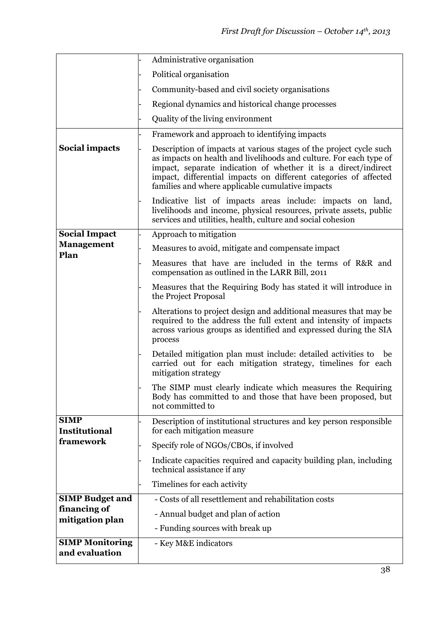|                                          | Administrative organisation                                                                                                                                                                                                                                                                                                        |
|------------------------------------------|------------------------------------------------------------------------------------------------------------------------------------------------------------------------------------------------------------------------------------------------------------------------------------------------------------------------------------|
|                                          | Political organisation                                                                                                                                                                                                                                                                                                             |
|                                          | Community-based and civil society organisations                                                                                                                                                                                                                                                                                    |
|                                          | Regional dynamics and historical change processes                                                                                                                                                                                                                                                                                  |
|                                          | Quality of the living environment                                                                                                                                                                                                                                                                                                  |
|                                          | Framework and approach to identifying impacts                                                                                                                                                                                                                                                                                      |
| <b>Social impacts</b>                    | Description of impacts at various stages of the project cycle such<br>as impacts on health and livelihoods and culture. For each type of<br>impact, separate indication of whether it is a direct/indirect<br>impact, differential impacts on different categories of affected<br>families and where applicable cumulative impacts |
|                                          | Indicative list of impacts areas include: impacts on land,<br>livelihoods and income, physical resources, private assets, public<br>services and utilities, health, culture and social cohesion                                                                                                                                    |
| <b>Social Impact</b>                     | Approach to mitigation                                                                                                                                                                                                                                                                                                             |
| <b>Management</b><br>Plan                | Measures to avoid, mitigate and compensate impact                                                                                                                                                                                                                                                                                  |
|                                          | Measures that have are included in the terms of R&R and<br>compensation as outlined in the LARR Bill, 2011                                                                                                                                                                                                                         |
|                                          | Measures that the Requiring Body has stated it will introduce in<br>the Project Proposal                                                                                                                                                                                                                                           |
|                                          | Alterations to project design and additional measures that may be<br>required to the address the full extent and intensity of impacts<br>across various groups as identified and expressed during the SIA<br>process                                                                                                               |
|                                          | Detailed mitigation plan must include: detailed activities to<br>be<br>carried out for each mitigation strategy, timelines for each<br>mitigation strategy                                                                                                                                                                         |
|                                          | The SIMP must clearly indicate which measures the Requiring<br>Body has committed to and those that have been proposed, but<br>not committed to                                                                                                                                                                                    |
| <b>SIMP</b><br><b>Institutional</b>      | Description of institutional structures and key person responsible<br>for each mitigation measure                                                                                                                                                                                                                                  |
| framework                                | Specify role of NGOs/CBOs, if involved                                                                                                                                                                                                                                                                                             |
|                                          | Indicate capacities required and capacity building plan, including<br>technical assistance if any                                                                                                                                                                                                                                  |
|                                          | Timelines for each activity                                                                                                                                                                                                                                                                                                        |
| <b>SIMP Budget and</b>                   | - Costs of all resettlement and rehabilitation costs                                                                                                                                                                                                                                                                               |
| financing of<br>mitigation plan          | - Annual budget and plan of action                                                                                                                                                                                                                                                                                                 |
|                                          | - Funding sources with break up                                                                                                                                                                                                                                                                                                    |
| <b>SIMP Monitoring</b><br>and evaluation | - Key M&E indicators                                                                                                                                                                                                                                                                                                               |